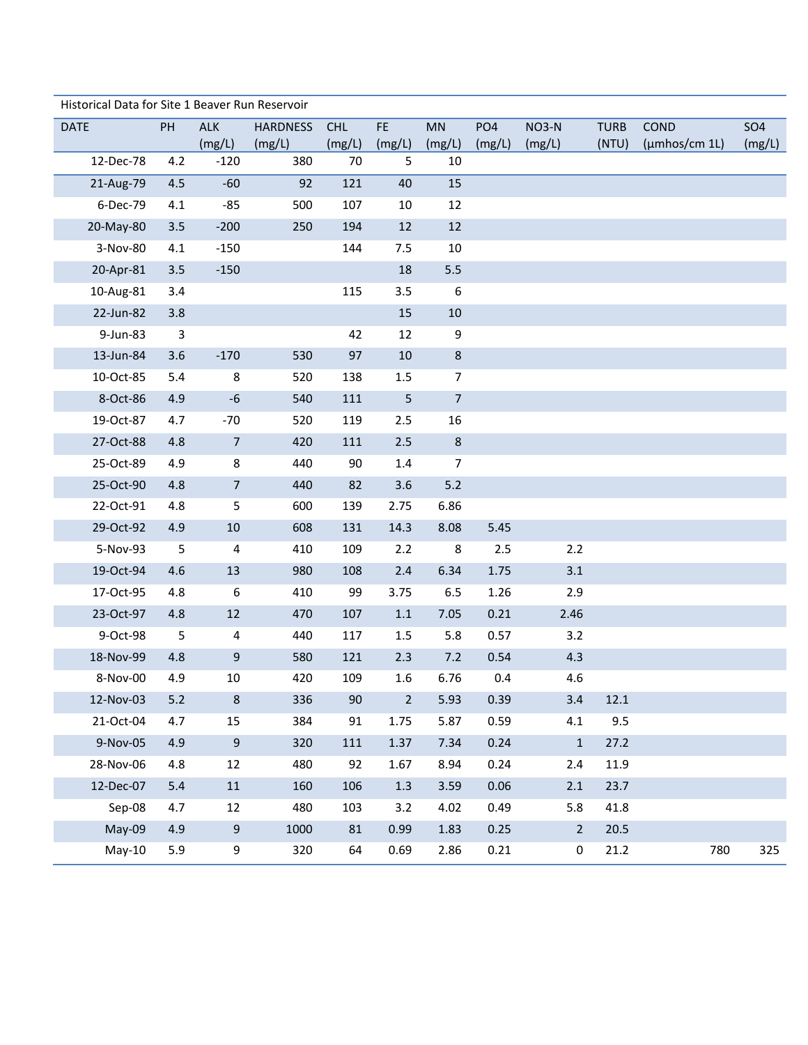| Historical Data for Site 1 Beaver Run Reservoir |       |                         |                 |            |                |                  |        |                  |             |                     |            |
|-------------------------------------------------|-------|-------------------------|-----------------|------------|----------------|------------------|--------|------------------|-------------|---------------------|------------|
| <b>DATE</b>                                     | PH    | <b>ALK</b>              | <b>HARDNESS</b> | <b>CHL</b> | FE             | MN               | PO4    | NO3-N            | <b>TURB</b> | COND                | <b>SO4</b> |
|                                                 |       | (mg/L)                  | (mg/L)          | (mg/L)     | (mg/L)         | (mg/L)           | (mg/L) | (mg/L)           | (NTU)       | $(\mu m$ hos/cm 1L) | (mg/L)     |
| 12-Dec-78                                       | 4.2   | $-120$                  | 380             | 70         | 5              | 10               |        |                  |             |                     |            |
| 21-Aug-79                                       | 4.5   | $-60$                   | 92              | 121        | 40             | 15               |        |                  |             |                     |            |
| 6-Dec-79                                        | 4.1   | $-85$                   | 500             | 107        | 10             | 12               |        |                  |             |                     |            |
| 20-May-80                                       | 3.5   | $-200$                  | 250             | 194        | 12             | 12               |        |                  |             |                     |            |
| 3-Nov-80                                        | 4.1   | $-150$                  |                 | 144        | 7.5            | 10               |        |                  |             |                     |            |
| 20-Apr-81                                       | 3.5   | $-150$                  |                 |            | 18             | 5.5              |        |                  |             |                     |            |
| 10-Aug-81                                       | 3.4   |                         |                 | 115        | 3.5            | $\boldsymbol{6}$ |        |                  |             |                     |            |
| 22-Jun-82                                       | 3.8   |                         |                 |            | 15             | $10\,$           |        |                  |             |                     |            |
| 9-Jun-83                                        | 3     |                         |                 | 42         | 12             | $\boldsymbol{9}$ |        |                  |             |                     |            |
| 13-Jun-84                                       | 3.6   | $-170$                  | 530             | 97         | 10             | $\,8\,$          |        |                  |             |                     |            |
| 10-Oct-85                                       | 5.4   | 8                       | 520             | 138        | 1.5            | $\overline{7}$   |        |                  |             |                     |            |
| 8-Oct-86                                        | 4.9   | $-6$                    | 540             | 111        | $\sqrt{5}$     | $\overline{7}$   |        |                  |             |                     |            |
| 19-Oct-87                                       | 4.7   | $-70$                   | 520             | 119        | 2.5            | 16               |        |                  |             |                     |            |
| 27-Oct-88                                       | 4.8   | $\overline{7}$          | 420             | 111        | 2.5            | $\,8\,$          |        |                  |             |                     |            |
| 25-Oct-89                                       | 4.9   | $\,8\,$                 | 440             | 90         | $1.4\,$        | $\overline{7}$   |        |                  |             |                     |            |
| 25-Oct-90                                       | 4.8   | $\overline{7}$          | 440             | 82         | 3.6            | $5.2$            |        |                  |             |                     |            |
| 22-Oct-91                                       | 4.8   | 5                       | 600             | 139        | 2.75           | 6.86             |        |                  |             |                     |            |
| 29-Oct-92                                       | 4.9   | 10                      | 608             | 131        | 14.3           | 8.08             | 5.45   |                  |             |                     |            |
| 5-Nov-93                                        | 5     | $\overline{\mathbf{4}}$ | 410             | 109        | 2.2            | 8                | 2.5    | 2.2              |             |                     |            |
| 19-Oct-94                                       | 4.6   | 13                      | 980             | 108        | 2.4            | 6.34             | 1.75   | 3.1              |             |                     |            |
| 17-Oct-95                                       | 4.8   | $\boldsymbol{6}$        | 410             | 99         | 3.75           | 6.5              | 1.26   | 2.9              |             |                     |            |
| 23-Oct-97                                       | 4.8   | 12                      | 470             | 107        | $1.1\,$        | 7.05             | 0.21   | 2.46             |             |                     |            |
| 9-Oct-98                                        | 5     | 4                       | 440             | 117        | 1.5            | 5.8              | 0.57   | 3.2              |             |                     |            |
| 18-Nov-99                                       | 4.8   | $9\,$                   | 580             | 121        | 2.3            | 7.2              | 0.54   | 4.3              |             |                     |            |
| 8-Nov-00                                        | 4.9   | 10                      | 420             | 109        | 1.6            | 6.76             | 0.4    | 4.6              |             |                     |            |
| 12-Nov-03                                       | $5.2$ | 8                       | 336             | 90         | $\overline{2}$ | 5.93             | 0.39   | 3.4              | 12.1        |                     |            |
| 21-Oct-04                                       | 4.7   | 15                      | 384             | 91         | 1.75           | 5.87             | 0.59   | 4.1              | 9.5         |                     |            |
| 9-Nov-05                                        | 4.9   | 9                       | 320             | 111        | 1.37           | 7.34             | 0.24   | $\,1\,$          | 27.2        |                     |            |
| 28-Nov-06                                       | 4.8   | 12                      | 480             | 92         | 1.67           | 8.94             | 0.24   | 2.4              | 11.9        |                     |            |
| 12-Dec-07                                       | 5.4   | $11\,$                  | 160             | 106        | $1.3$          | 3.59             | 0.06   | 2.1              | 23.7        |                     |            |
| Sep-08                                          | 4.7   | 12                      | 480             | 103        | 3.2            | 4.02             | 0.49   | 5.8              | 41.8        |                     |            |
| May-09                                          | 4.9   | $\boldsymbol{9}$        | 1000            | 81         | 0.99           | 1.83             | 0.25   | $\overline{2}$   | 20.5        |                     |            |
| $May-10$                                        | 5.9   | 9                       | 320             | 64         | 0.69           | 2.86             | 0.21   | $\boldsymbol{0}$ | 21.2        | 780                 | 325        |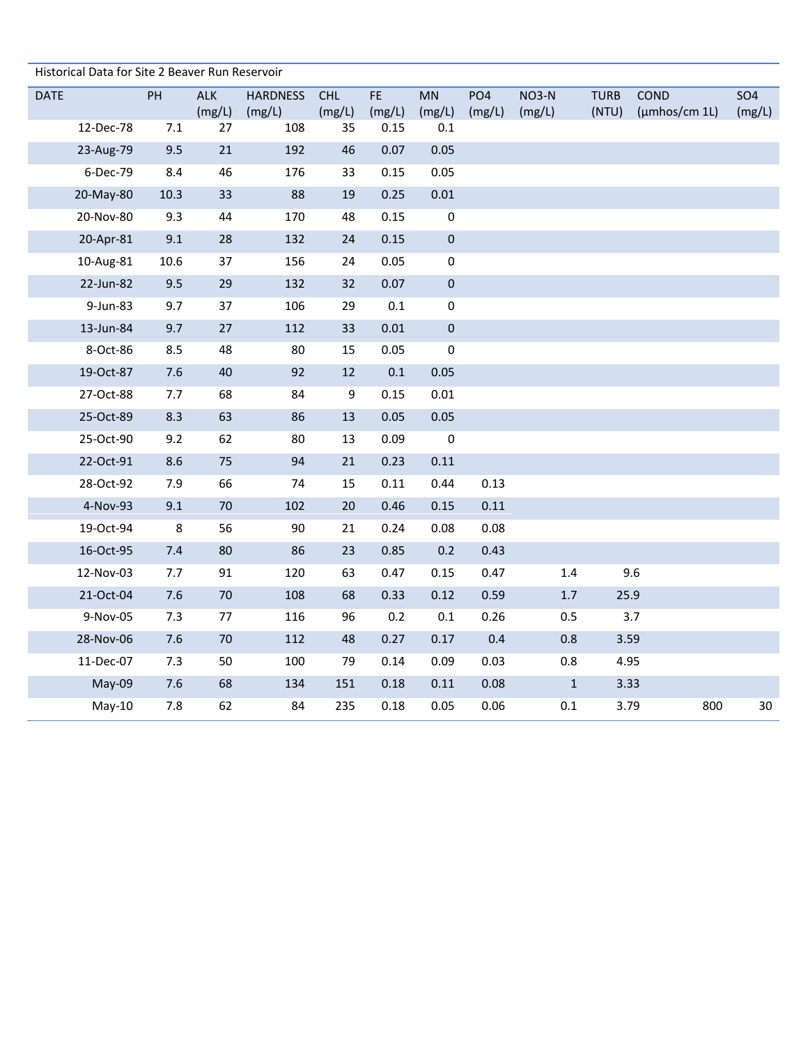|             | Historical Data for Site 2 Beaver Run Reservoir |      |                      |                           |                      |               |                     |                           |                 |                      |                       |                      |
|-------------|-------------------------------------------------|------|----------------------|---------------------------|----------------------|---------------|---------------------|---------------------------|-----------------|----------------------|-----------------------|----------------------|
| <b>DATE</b> |                                                 | PH   | <b>ALK</b><br>(mg/L) | <b>HARDNESS</b><br>(mg/L) | <b>CHL</b><br>(mg/L) | FE.<br>(mg/L) | <b>MN</b><br>(mg/L) | PO <sub>4</sub><br>(mg/L) | NO3-N<br>(mg/L) | <b>TURB</b><br>(NTU) | COND<br>(µmhos/cm 1L) | <b>SO4</b><br>(mg/L) |
|             | 12-Dec-78                                       | 7.1  | 27                   | 108                       | 35                   | 0.15          | $0.1\,$             |                           |                 |                      |                       |                      |
|             | 23-Aug-79                                       | 9.5  | 21                   | 192                       | 46                   | 0.07          | 0.05                |                           |                 |                      |                       |                      |
|             | 6-Dec-79                                        | 8.4  | 46                   | 176                       | 33                   | 0.15          | 0.05                |                           |                 |                      |                       |                      |
|             | 20-May-80                                       | 10.3 | 33                   | 88                        | 19                   | 0.25          | 0.01                |                           |                 |                      |                       |                      |
|             | 20-Nov-80                                       | 9.3  | 44                   | 170                       | 48                   | 0.15          | $\pmb{0}$           |                           |                 |                      |                       |                      |
|             | 20-Apr-81                                       | 9.1  | 28                   | 132                       | 24                   | 0.15          | $\pmb{0}$           |                           |                 |                      |                       |                      |
|             | 10-Aug-81                                       | 10.6 | 37                   | 156                       | 24                   | 0.05          | 0                   |                           |                 |                      |                       |                      |
|             | 22-Jun-82                                       | 9.5  | 29                   | 132                       | 32                   | 0.07          | $\pmb{0}$           |                           |                 |                      |                       |                      |
|             | 9-Jun-83                                        | 9.7  | 37                   | 106                       | 29                   | $0.1\,$       | 0                   |                           |                 |                      |                       |                      |
|             | 13-Jun-84                                       | 9.7  | 27                   | 112                       | 33                   | 0.01          | $\pmb{0}$           |                           |                 |                      |                       |                      |
|             | 8-Oct-86                                        | 8.5  | 48                   | 80                        | 15                   | 0.05          | 0                   |                           |                 |                      |                       |                      |
|             | 19-Oct-87                                       | 7.6  | 40                   | 92                        | 12                   | $0.1\,$       | 0.05                |                           |                 |                      |                       |                      |
|             | 27-Oct-88                                       | 7.7  | 68                   | 84                        | 9                    | 0.15          | $0.01\,$            |                           |                 |                      |                       |                      |
|             | 25-Oct-89                                       | 8.3  | 63                   | 86                        | 13                   | 0.05          | 0.05                |                           |                 |                      |                       |                      |
|             | 25-Oct-90                                       | 9.2  | 62                   | 80                        | 13                   | 0.09          | $\pmb{0}$           |                           |                 |                      |                       |                      |
|             | 22-Oct-91                                       | 8.6  | 75                   | 94                        | 21                   | 0.23          | 0.11                |                           |                 |                      |                       |                      |
|             | 28-Oct-92                                       | 7.9  | 66                   | 74                        | 15                   | 0.11          | 0.44                | 0.13                      |                 |                      |                       |                      |
|             | 4-Nov-93                                        | 9.1  | 70                   | 102                       | 20                   | 0.46          | 0.15                | $0.11\,$                  |                 |                      |                       |                      |
|             | 19-Oct-94                                       | 8    | 56                   | 90                        | 21                   | 0.24          | 0.08                | 0.08                      |                 |                      |                       |                      |
|             | 16-Oct-95                                       | 7.4  | $80\,$               | 86                        | 23                   | 0.85          | 0.2                 | 0.43                      |                 |                      |                       |                      |
|             | 12-Nov-03                                       | 7.7  | 91                   | 120                       | 63                   | 0.47          | 0.15                | 0.47                      | $1.4\,$         |                      | 9.6                   |                      |
|             | 21-Oct-04                                       | 7.6  | 70                   | 108                       | 68                   | 0.33          | 0.12                | 0.59                      | $1.7\,$         | 25.9                 |                       |                      |
|             | 9-Nov-05                                        | 7.3  | 77                   | 116                       | 96                   | 0.2           | 0.1                 | 0.26                      | 0.5             |                      | 3.7                   |                      |
|             | 28-Nov-06                                       | 7.6  | 70                   | 112                       | 48                   | 0.27          | 0.17                | 0.4                       | 0.8             | 3.59                 |                       |                      |
|             | 11-Dec-07                                       | 7.3  | 50                   | 100                       | 79                   | 0.14          | 0.09                | 0.03                      | 0.8             | 4.95                 |                       |                      |
|             | May-09                                          | 7.6  | 68                   | 134                       | 151                  | 0.18          | 0.11                | 0.08                      | $1\,$           | 3.33                 |                       |                      |
|             | $May-10$                                        | 7.8  | 62                   | 84                        | 235                  | 0.18          | 0.05                | 0.06                      | $0.1\,$         | 3.79                 | 800                   | $30\,$               |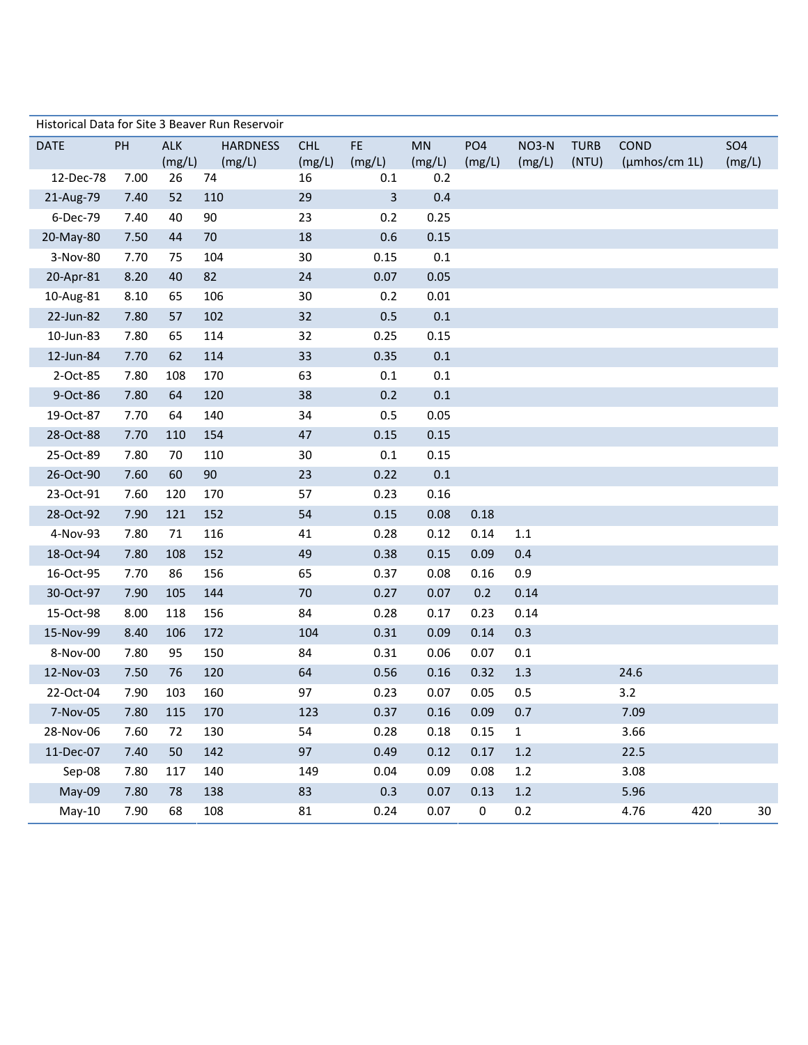|             |      |            | Historical Data for Site 3 Beaver Run Reservoir |            |         |         |                  |              |             |               |     |            |
|-------------|------|------------|-------------------------------------------------|------------|---------|---------|------------------|--------------|-------------|---------------|-----|------------|
| <b>DATE</b> | PH   | <b>ALK</b> | <b>HARDNESS</b>                                 | <b>CHL</b> | FE.     | MN      | PO <sub>4</sub>  | NO3-N        | <b>TURB</b> | <b>COND</b>   |     | <b>SO4</b> |
|             |      | (mg/L)     | (mg/L)                                          | (mg/L)     | (mg/L)  | (mg/L)  | (mg/L)           | (mg/L)       | (NTU)       | (µmhos/cm 1L) |     | (mg/L)     |
| 12-Dec-78   | 7.00 | 26         | 74                                              | 16         | 0.1     | 0.2     |                  |              |             |               |     |            |
| 21-Aug-79   | 7.40 | 52         | 110                                             | 29         | 3       | 0.4     |                  |              |             |               |     |            |
| 6-Dec-79    | 7.40 | 40         | 90                                              | 23         | 0.2     | 0.25    |                  |              |             |               |     |            |
| 20-May-80   | 7.50 | 44         | 70                                              | 18         | 0.6     | 0.15    |                  |              |             |               |     |            |
| 3-Nov-80    | 7.70 | 75         | 104                                             | 30         | 0.15    | 0.1     |                  |              |             |               |     |            |
| 20-Apr-81   | 8.20 | 40         | 82                                              | 24         | 0.07    | 0.05    |                  |              |             |               |     |            |
| 10-Aug-81   | 8.10 | 65         | 106                                             | 30         | 0.2     | 0.01    |                  |              |             |               |     |            |
| 22-Jun-82   | 7.80 | 57         | 102                                             | 32         | 0.5     | $0.1\,$ |                  |              |             |               |     |            |
| 10-Jun-83   | 7.80 | 65         | 114                                             | 32         | 0.25    | 0.15    |                  |              |             |               |     |            |
| 12-Jun-84   | 7.70 | 62         | 114                                             | 33         | 0.35    | 0.1     |                  |              |             |               |     |            |
| 2-Oct-85    | 7.80 | 108        | 170                                             | 63         | $0.1\,$ | 0.1     |                  |              |             |               |     |            |
| 9-Oct-86    | 7.80 | 64         | 120                                             | 38         | 0.2     | $0.1\,$ |                  |              |             |               |     |            |
| 19-Oct-87   | 7.70 | 64         | 140                                             | 34         | 0.5     | 0.05    |                  |              |             |               |     |            |
| 28-Oct-88   | 7.70 | 110        | 154                                             | 47         | 0.15    | 0.15    |                  |              |             |               |     |            |
| 25-Oct-89   | 7.80 | 70         | 110                                             | 30         | $0.1\,$ | 0.15    |                  |              |             |               |     |            |
| 26-Oct-90   | 7.60 | 60         | 90                                              | 23         | 0.22    | $0.1\,$ |                  |              |             |               |     |            |
| 23-Oct-91   | 7.60 | 120        | 170                                             | 57         | 0.23    | 0.16    |                  |              |             |               |     |            |
| 28-Oct-92   | 7.90 | 121        | 152                                             | 54         | 0.15    | 0.08    | 0.18             |              |             |               |     |            |
| 4-Nov-93    | 7.80 | 71         | 116                                             | 41         | 0.28    | 0.12    | 0.14             | $1.1\,$      |             |               |     |            |
| 18-Oct-94   | 7.80 | 108        | 152                                             | 49         | 0.38    | 0.15    | 0.09             | 0.4          |             |               |     |            |
| 16-Oct-95   | 7.70 | 86         | 156                                             | 65         | 0.37    | 0.08    | 0.16             | 0.9          |             |               |     |            |
| 30-Oct-97   | 7.90 | 105        | 144                                             | 70         | 0.27    | 0.07    | 0.2              | 0.14         |             |               |     |            |
| 15-Oct-98   | 8.00 | 118        | 156                                             | 84         | 0.28    | 0.17    | 0.23             | 0.14         |             |               |     |            |
| 15-Nov-99   | 8.40 | 106        | 172                                             | 104        | 0.31    | 0.09    | 0.14             | 0.3          |             |               |     |            |
| 8-Nov-00    | 7.80 | 95         | 150                                             | 84         | 0.31    | 0.06    | 0.07             | $0.1\,$      |             |               |     |            |
| 12-Nov-03   | 7.50 | 76         | 120                                             | 64         | 0.56    | 0.16    | 0.32             | 1.3          |             | 24.6          |     |            |
| 22-Oct-04   | 7.90 | 103        | 160                                             | 97         | 0.23    | 0.07    | 0.05             | 0.5          |             | 3.2           |     |            |
| 7-Nov-05    | 7.80 | 115        | 170                                             | 123        | 0.37    | 0.16    | 0.09             | 0.7          |             | 7.09          |     |            |
| 28-Nov-06   | 7.60 | 72         | 130                                             | 54         | 0.28    | 0.18    | 0.15             | $\mathbf{1}$ |             | 3.66          |     |            |
| 11-Dec-07   | 7.40 | 50         | 142                                             | 97         | 0.49    | 0.12    | 0.17             | $1.2$        |             | 22.5          |     |            |
| Sep-08      | 7.80 | 117        | 140                                             | 149        | 0.04    | 0.09    | 0.08             | $1.2\,$      |             | 3.08          |     |            |
| May-09      | 7.80 | 78         | 138                                             | 83         | 0.3     | 0.07    | 0.13             | $1.2$        |             | 5.96          |     |            |
| $May-10$    | 7.90 | 68         | 108                                             | 81         | 0.24    | 0.07    | $\boldsymbol{0}$ | 0.2          |             | 4.76          | 420 | 30         |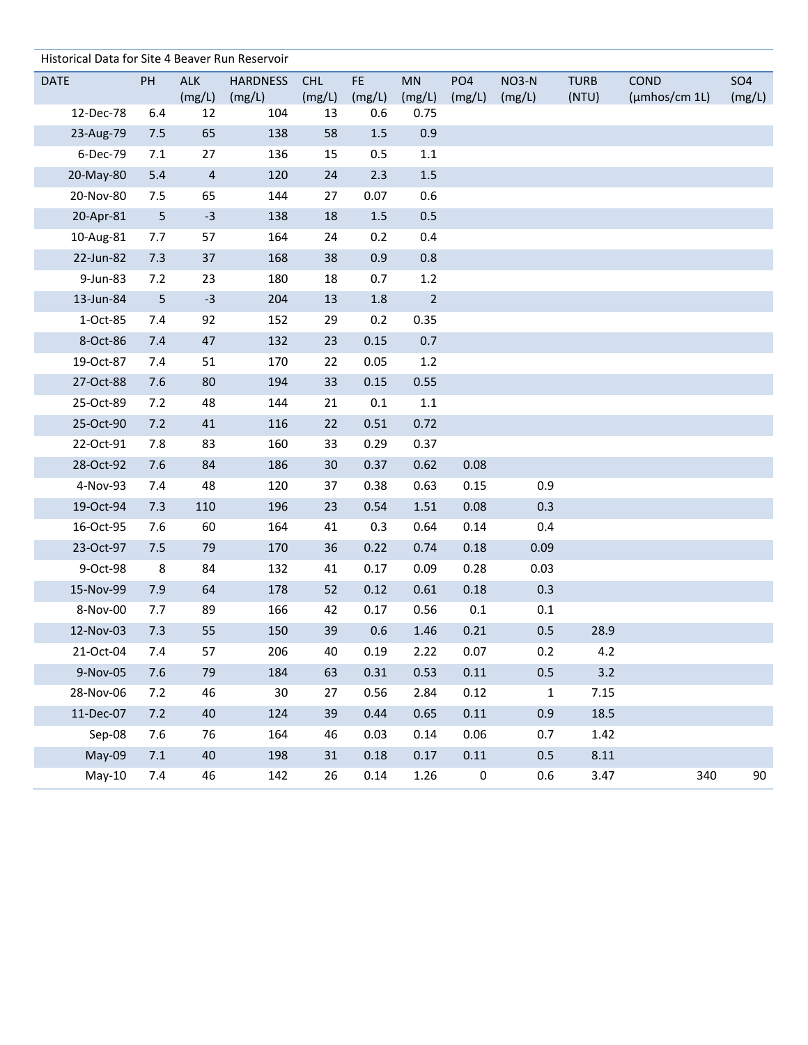| Historical Data for Site 4 Beaver Run Reservoir |     |                          |                 |            |         |             |                 |             |             |               |            |
|-------------------------------------------------|-----|--------------------------|-----------------|------------|---------|-------------|-----------------|-------------|-------------|---------------|------------|
| <b>DATE</b>                                     | PH  | ALK                      | <b>HARDNESS</b> | <b>CHL</b> | FE.     | MN          | PO <sub>4</sub> | NO3-N       | <b>TURB</b> | COND          | <b>SO4</b> |
|                                                 |     | (mg/L)                   | (mg/L)          | (mg/L)     | (mg/L)  | (mg/L)      | (mg/L)          | (mg/L)      | (NTU)       | (µmhos/cm 1L) | (mg/L)     |
| 12-Dec-78                                       | 6.4 | 12                       | 104             | 13         | 0.6     | 0.75        |                 |             |             |               |            |
| 23-Aug-79                                       | 7.5 | 65                       | 138             | 58         | $1.5\,$ | 0.9         |                 |             |             |               |            |
| 6-Dec-79                                        | 7.1 | 27                       | 136             | 15         | 0.5     | $1.1\,$     |                 |             |             |               |            |
| 20-May-80                                       | 5.4 | $\overline{\mathcal{A}}$ | 120             | 24         | 2.3     | 1.5         |                 |             |             |               |            |
| 20-Nov-80                                       | 7.5 | 65                       | 144             | 27         | 0.07    | 0.6         |                 |             |             |               |            |
| 20-Apr-81                                       | 5   | $-3$                     | 138             | 18         | $1.5$   | 0.5         |                 |             |             |               |            |
| 10-Aug-81                                       | 7.7 | 57                       | 164             | 24         | 0.2     | 0.4         |                 |             |             |               |            |
| 22-Jun-82                                       | 7.3 | 37                       | 168             | 38         | 0.9     | 0.8         |                 |             |             |               |            |
| 9-Jun-83                                        | 7.2 | 23                       | 180             | 18         | 0.7     | $1.2\,$     |                 |             |             |               |            |
| 13-Jun-84                                       | 5   | $-3$                     | 204             | 13         | 1.8     | $\mathbf 2$ |                 |             |             |               |            |
| 1-Oct-85                                        | 7.4 | 92                       | 152             | 29         | 0.2     | 0.35        |                 |             |             |               |            |
| 8-Oct-86                                        | 7.4 | 47                       | 132             | 23         | 0.15    | 0.7         |                 |             |             |               |            |
| 19-Oct-87                                       | 7.4 | 51                       | 170             | 22         | 0.05    | $1.2\,$     |                 |             |             |               |            |
| 27-Oct-88                                       | 7.6 | 80                       | 194             | 33         | 0.15    | 0.55        |                 |             |             |               |            |
| 25-Oct-89                                       | 7.2 | 48                       | 144             | 21         | $0.1\,$ | 1.1         |                 |             |             |               |            |
| 25-Oct-90                                       | 7.2 | 41                       | 116             | 22         | 0.51    | 0.72        |                 |             |             |               |            |
| 22-Oct-91                                       | 7.8 | 83                       | 160             | 33         | 0.29    | 0.37        |                 |             |             |               |            |
| 28-Oct-92                                       | 7.6 | 84                       | 186             | 30         | 0.37    | 0.62        | 0.08            |             |             |               |            |
| 4-Nov-93                                        | 7.4 | 48                       | 120             | 37         | 0.38    | 0.63        | 0.15            | 0.9         |             |               |            |
| 19-Oct-94                                       | 7.3 | 110                      | 196             | 23         | 0.54    | 1.51        | 0.08            | 0.3         |             |               |            |
| 16-Oct-95                                       | 7.6 | 60                       | 164             | 41         | 0.3     | 0.64        | 0.14            | 0.4         |             |               |            |
| 23-Oct-97                                       | 7.5 | 79                       | 170             | 36         | 0.22    | 0.74        | 0.18            | 0.09        |             |               |            |
| 9-Oct-98                                        | 8   | 84                       | 132             | 41         | 0.17    | 0.09        | 0.28            | 0.03        |             |               |            |
| 15-Nov-99                                       | 7.9 | 64                       | 178             | 52         | 0.12    | 0.61        | 0.18            | 0.3         |             |               |            |
| 8-Nov-00                                        | 7.7 | 89                       | 166             | 42         | 0.17    | 0.56        | 0.1             | 0.1         |             |               |            |
| 12-Nov-03                                       | 7.3 | 55                       | 150             | 39         | 0.6     | 1.46        | 0.21            | 0.5         | 28.9        |               |            |
| 21-Oct-04                                       | 7.4 | 57                       | 206             | 40         | 0.19    | 2.22        | 0.07            | 0.2         | 4.2         |               |            |
| 9-Nov-05                                        | 7.6 | 79                       | 184             | 63         | 0.31    | 0.53        | 0.11            | $0.5\,$     | 3.2         |               |            |
| 28-Nov-06                                       | 7.2 | 46                       | 30              | 27         | 0.56    | 2.84        | 0.12            | $\mathbf 1$ | 7.15        |               |            |
| 11-Dec-07                                       | 7.2 | 40                       | 124             | 39         | 0.44    | 0.65        | 0.11            | 0.9         | 18.5        |               |            |
| Sep-08                                          | 7.6 | 76                       | 164             | 46         | 0.03    | 0.14        | 0.06            | 0.7         | 1.42        |               |            |
| May-09                                          | 7.1 | 40                       | 198             | 31         | 0.18    | 0.17        | $0.11\,$        | 0.5         | 8.11        |               |            |
| $May-10$                                        | 7.4 | 46                       | 142             | 26         | 0.14    | 1.26        | $\pmb{0}$       | 0.6         | 3.47        | 340           | 90         |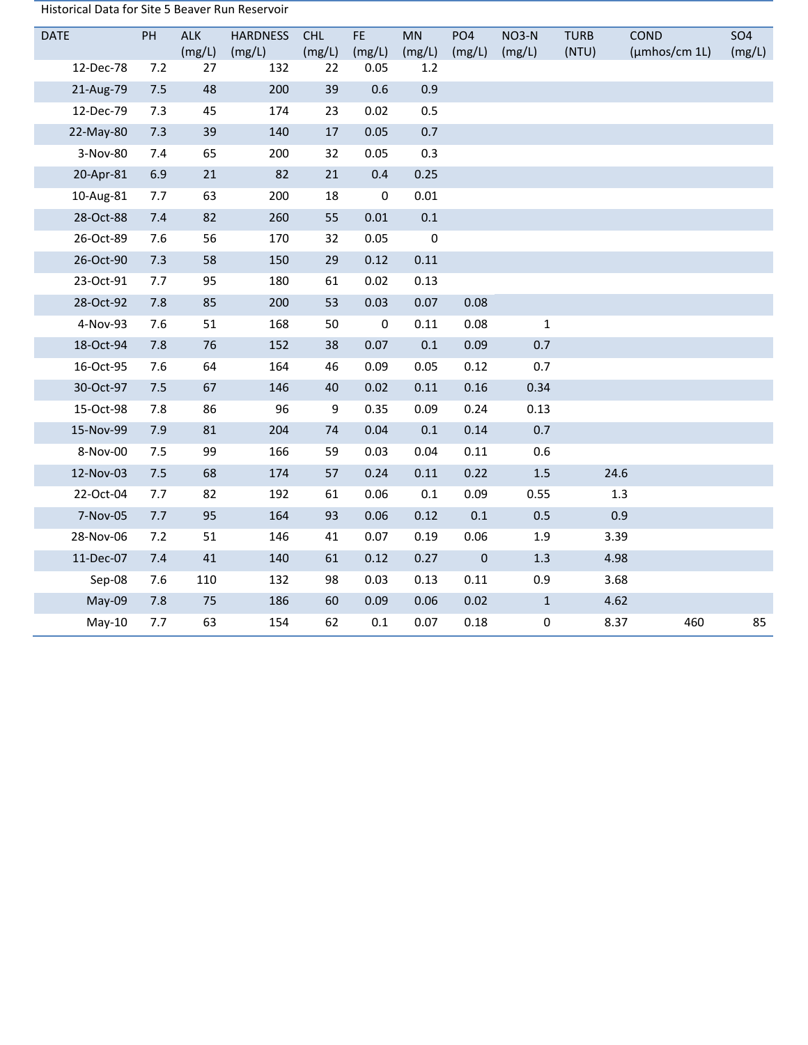| Historical Data for Site 5 Beaver Run Reservoir |  |
|-------------------------------------------------|--|
|-------------------------------------------------|--|

| <b>DATE</b> | PH  | <b>ALK</b><br>(mg/L) | <b>HARDNESS</b><br>(mg/L) | <b>CHL</b><br>(mg/L) | FE.<br>(mg/L) | MN<br>(mg/L) | PO <sub>4</sub><br>(mg/L) | <b>NO3-N</b><br>(mg/L) | <b>TURB</b><br>(NTU) | COND<br>(µmhos/cm 1L) | <b>SO4</b><br>(mg/L) |
|-------------|-----|----------------------|---------------------------|----------------------|---------------|--------------|---------------------------|------------------------|----------------------|-----------------------|----------------------|
| 12-Dec-78   | 7.2 | 27                   | 132                       | 22                   | 0.05          | 1.2          |                           |                        |                      |                       |                      |
| 21-Aug-79   | 7.5 | 48                   | 200                       | 39                   | 0.6           | 0.9          |                           |                        |                      |                       |                      |
| 12-Dec-79   | 7.3 | 45                   | 174                       | 23                   | 0.02          | 0.5          |                           |                        |                      |                       |                      |
| 22-May-80   | 7.3 | 39                   | 140                       | 17                   | 0.05          | 0.7          |                           |                        |                      |                       |                      |
| 3-Nov-80    | 7.4 | 65                   | 200                       | 32                   | 0.05          | 0.3          |                           |                        |                      |                       |                      |
| 20-Apr-81   | 6.9 | 21                   | 82                        | 21                   | 0.4           | 0.25         |                           |                        |                      |                       |                      |
| 10-Aug-81   | 7.7 | 63                   | 200                       | 18                   | $\pmb{0}$     | 0.01         |                           |                        |                      |                       |                      |
| 28-Oct-88   | 7.4 | 82                   | 260                       | 55                   | 0.01          | 0.1          |                           |                        |                      |                       |                      |
| 26-Oct-89   | 7.6 | 56                   | 170                       | 32                   | 0.05          | $\pmb{0}$    |                           |                        |                      |                       |                      |
| 26-Oct-90   | 7.3 | 58                   | 150                       | 29                   | 0.12          | 0.11         |                           |                        |                      |                       |                      |
| 23-Oct-91   | 7.7 | 95                   | 180                       | 61                   | 0.02          | 0.13         |                           |                        |                      |                       |                      |
| 28-Oct-92   | 7.8 | 85                   | 200                       | 53                   | 0.03          | 0.07         | 0.08                      |                        |                      |                       |                      |
| 4-Nov-93    | 7.6 | 51                   | 168                       | 50                   | $\pmb{0}$     | 0.11         | 0.08                      | $\mathbf{1}$           |                      |                       |                      |
| 18-Oct-94   | 7.8 | 76                   | 152                       | 38                   | 0.07          | 0.1          | 0.09                      | 0.7                    |                      |                       |                      |
| 16-Oct-95   | 7.6 | 64                   | 164                       | 46                   | 0.09          | 0.05         | 0.12                      | 0.7                    |                      |                       |                      |
| 30-Oct-97   | 7.5 | 67                   | 146                       | 40                   | 0.02          | 0.11         | 0.16                      | 0.34                   |                      |                       |                      |
| 15-Oct-98   | 7.8 | 86                   | 96                        | 9                    | 0.35          | 0.09         | 0.24                      | 0.13                   |                      |                       |                      |
| 15-Nov-99   | 7.9 | 81                   | 204                       | 74                   | 0.04          | 0.1          | 0.14                      | 0.7                    |                      |                       |                      |
| 8-Nov-00    | 7.5 | 99                   | 166                       | 59                   | 0.03          | 0.04         | 0.11                      | 0.6                    |                      |                       |                      |
| 12-Nov-03   | 7.5 | 68                   | 174                       | 57                   | 0.24          | 0.11         | 0.22                      | $1.5\,$                |                      | 24.6                  |                      |
| 22-Oct-04   | 7.7 | 82                   | 192                       | 61                   | 0.06          | 0.1          | 0.09                      | 0.55                   |                      | 1.3                   |                      |
| 7-Nov-05    | 7.7 | 95                   | 164                       | 93                   | 0.06          | 0.12         | 0.1                       | 0.5                    |                      | 0.9                   |                      |
| 28-Nov-06   | 7.2 | 51                   | 146                       | 41                   | 0.07          | 0.19         | 0.06                      | 1.9                    |                      | 3.39                  |                      |
| 11-Dec-07   | 7.4 | 41                   | 140                       | 61                   | 0.12          | 0.27         | $\pmb{0}$                 | 1.3                    | 4.98                 |                       |                      |
| Sep-08      | 7.6 | 110                  | 132                       | 98                   | 0.03          | 0.13         | 0.11                      | 0.9                    |                      | 3.68                  |                      |
| May-09      | 7.8 | 75                   | 186                       | 60                   | 0.09          | 0.06         | 0.02                      | $\mathbf 1$            |                      | 4.62                  |                      |
| $May-10$    | 7.7 | 63                   | 154                       | 62                   | $0.1\,$       | 0.07         | 0.18                      | $\pmb{0}$              | 8.37                 | 460                   | 85                   |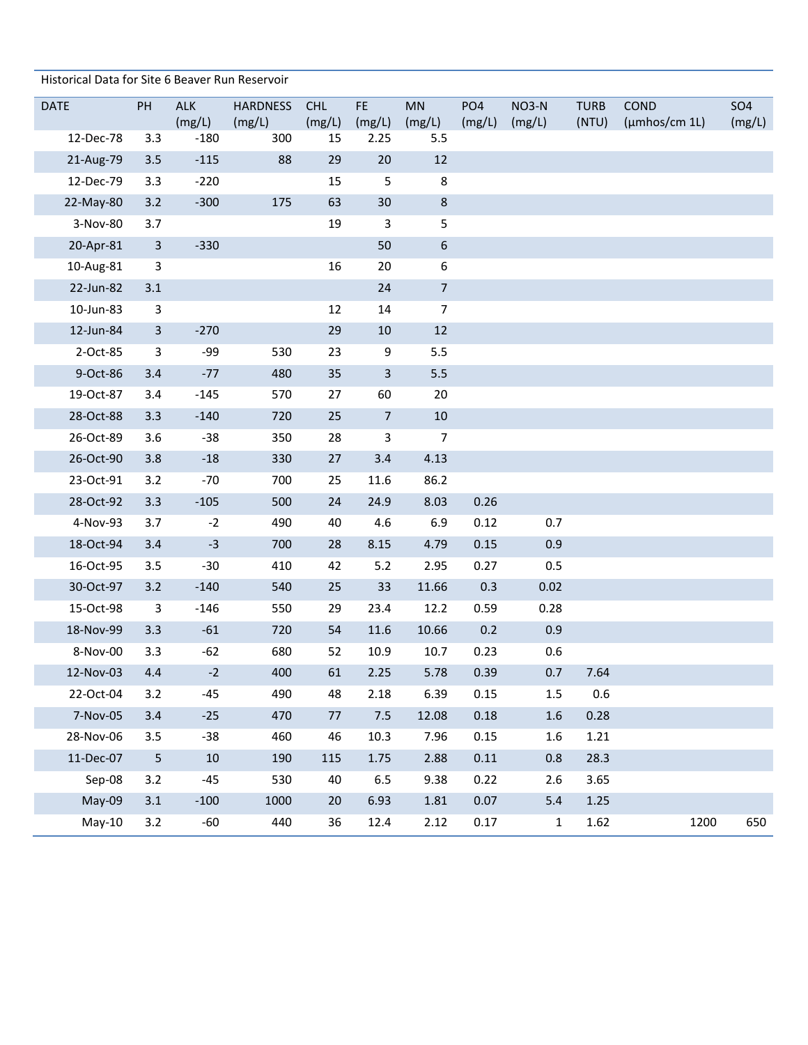| Historical Data for Site 6 Beaver Run Reservoir |                |                      |                           |                      |                |                     |                           |                 |                      |                             |                      |
|-------------------------------------------------|----------------|----------------------|---------------------------|----------------------|----------------|---------------------|---------------------------|-----------------|----------------------|-----------------------------|----------------------|
| <b>DATE</b>                                     | PH             | <b>ALK</b><br>(mg/L) | <b>HARDNESS</b><br>(mg/L) | <b>CHL</b><br>(mg/L) | FE.<br>(mg/L)  | <b>MN</b><br>(mg/L) | PO <sub>4</sub><br>(mg/L) | NO3-N<br>(mg/L) | <b>TURB</b><br>(NTU) | COND<br>$(\mu m$ hos/cm 1L) | <b>SO4</b><br>(mg/L) |
| 12-Dec-78                                       | 3.3            | $-180$               | 300                       | 15                   | 2.25           | 5.5                 |                           |                 |                      |                             |                      |
| 21-Aug-79                                       | 3.5            | $-115$               | 88                        | 29                   | 20             | 12                  |                           |                 |                      |                             |                      |
| 12-Dec-79                                       | 3.3            | $-220$               |                           | 15                   | 5              | 8                   |                           |                 |                      |                             |                      |
| 22-May-80                                       | 3.2            | $-300$               | 175                       | 63                   | $30\,$         | 8                   |                           |                 |                      |                             |                      |
| 3-Nov-80                                        | 3.7            |                      |                           | 19                   | $\mathbf{3}$   | 5                   |                           |                 |                      |                             |                      |
| 20-Apr-81                                       | $\overline{3}$ | $-330$               |                           |                      | 50             | $\boldsymbol{6}$    |                           |                 |                      |                             |                      |
| 10-Aug-81                                       | 3              |                      |                           | 16                   | 20             | 6                   |                           |                 |                      |                             |                      |
| 22-Jun-82                                       | 3.1            |                      |                           |                      | 24             | $\sqrt{ }$          |                           |                 |                      |                             |                      |
| 10-Jun-83                                       | $\mathbf{3}$   |                      |                           | 12                   | 14             | $\overline{7}$      |                           |                 |                      |                             |                      |
| 12-Jun-84                                       | $\mathbf{3}$   | $-270$               |                           | 29                   | $10\,$         | 12                  |                           |                 |                      |                             |                      |
| 2-Oct-85                                        | $\mathbf{3}$   | -99                  | 530                       | 23                   | 9              | 5.5                 |                           |                 |                      |                             |                      |
| 9-Oct-86                                        | 3.4            | $-77$                | 480                       | 35                   | $\overline{3}$ | 5.5                 |                           |                 |                      |                             |                      |
| 19-Oct-87                                       | 3.4            | $-145$               | 570                       | 27                   | 60             | 20                  |                           |                 |                      |                             |                      |
| 28-Oct-88                                       | 3.3            | $-140$               | 720                       | 25                   | $\overline{7}$ | 10                  |                           |                 |                      |                             |                      |
| 26-Oct-89                                       | 3.6            | $-38$                | 350                       | 28                   | 3              | $\overline{7}$      |                           |                 |                      |                             |                      |
| 26-Oct-90                                       | 3.8            | $-18$                | 330                       | 27                   | 3.4            | 4.13                |                           |                 |                      |                             |                      |
| 23-Oct-91                                       | 3.2            | $-70$                | 700                       | 25                   | 11.6           | 86.2                |                           |                 |                      |                             |                      |
| 28-Oct-92                                       | 3.3            | $-105$               | 500                       | 24                   | 24.9           | 8.03                | 0.26                      |                 |                      |                             |                      |
| 4-Nov-93                                        | 3.7            | $-2$                 | 490                       | 40                   | 4.6            | 6.9                 | 0.12                      | 0.7             |                      |                             |                      |
| 18-Oct-94                                       | 3.4            | $-3$                 | 700                       | 28                   | 8.15           | 4.79                | 0.15                      | 0.9             |                      |                             |                      |
| 16-Oct-95                                       | 3.5            | $-30$                | 410                       | 42                   | 5.2            | 2.95                | 0.27                      | 0.5             |                      |                             |                      |
| 30-Oct-97                                       | 3.2            | $-140$               | 540                       | 25                   | 33             | 11.66               | 0.3                       | 0.02            |                      |                             |                      |
| 15-Oct-98                                       | $\mathbf{3}$   | $-146$               | 550                       | 29                   | 23.4           | 12.2                | 0.59                      | 0.28            |                      |                             |                      |
| 18-Nov-99                                       | 3.3            | $-61$                | 720                       | 54                   | 11.6           | 10.66               | 0.2                       | 0.9             |                      |                             |                      |
| 8-Nov-00                                        | 3.3            | $-62$                | 680                       | 52                   | 10.9           | 10.7                | 0.23                      | 0.6             |                      |                             |                      |
| 12-Nov-03                                       | 4.4            | $-2$                 | 400                       | 61                   | 2.25           | 5.78                | 0.39                      | 0.7             | 7.64                 |                             |                      |
| 22-Oct-04                                       | 3.2            | $-45$                | 490                       | 48                   | 2.18           | 6.39                | 0.15                      | $1.5\,$         | 0.6                  |                             |                      |
| 7-Nov-05                                        | 3.4            | $-25$                | 470                       | 77                   | 7.5            | 12.08               | 0.18                      | 1.6             | 0.28                 |                             |                      |
| 28-Nov-06                                       | 3.5            | $-38$                | 460                       | 46                   | 10.3           | 7.96                | 0.15                      | 1.6             | 1.21                 |                             |                      |
| 11-Dec-07                                       | $5\phantom{.}$ | 10                   | 190                       | 115                  | 1.75           | 2.88                | 0.11                      | 0.8             | 28.3                 |                             |                      |
| Sep-08                                          | 3.2            | $-45$                | 530                       | 40                   | 6.5            | 9.38                | 0.22                      | 2.6             | 3.65                 |                             |                      |
| May-09                                          | 3.1            | $-100$               | 1000                      | 20                   | 6.93           | 1.81                | 0.07                      | 5.4             | 1.25                 |                             |                      |
| $May-10$                                        | 3.2            | $-60$                | 440                       | 36                   | 12.4           | 2.12                | 0.17                      | $\mathbf{1}$    | 1.62                 |                             | 650<br>1200          |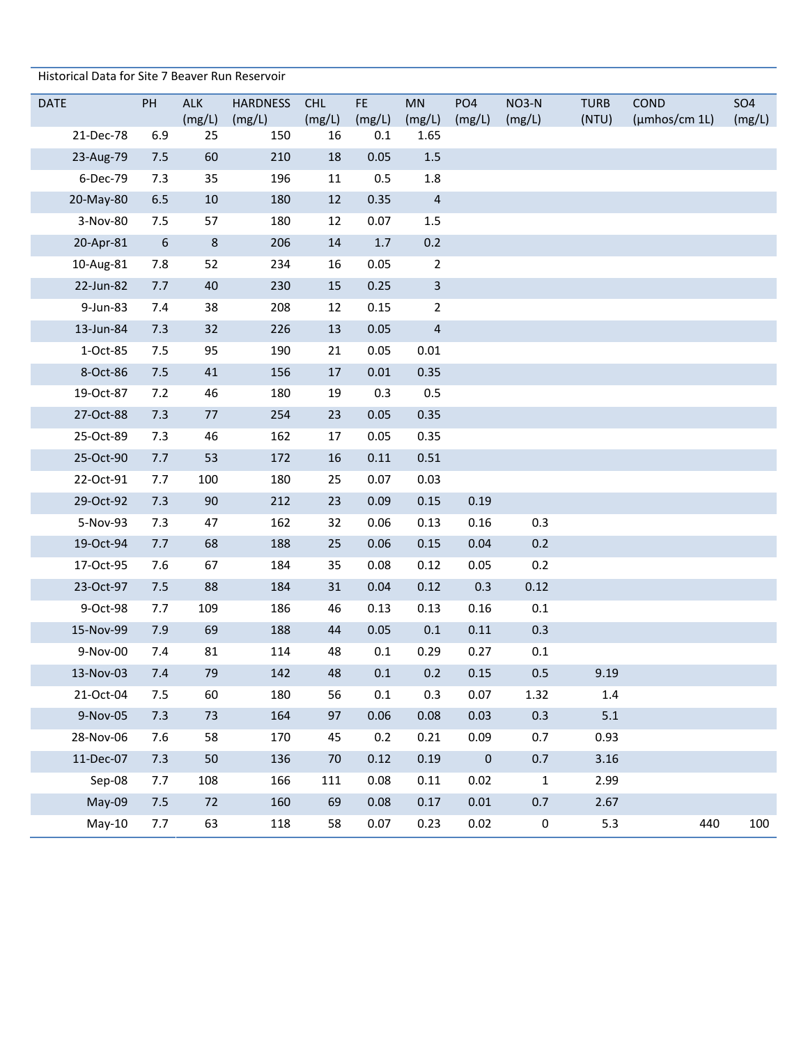| Historical Data for Site 7 Beaver Run Reservoir |                  |              |                 |              |               |                |                 |             |             |               |            |
|-------------------------------------------------|------------------|--------------|-----------------|--------------|---------------|----------------|-----------------|-------------|-------------|---------------|------------|
| <b>DATE</b>                                     | PH               | <b>ALK</b>   | <b>HARDNESS</b> | <b>CHL</b>   | FE.           | MN             | PO <sub>4</sub> | NO3-N       | <b>TURB</b> | COND          | <b>SO4</b> |
| 21-Dec-78                                       | 6.9              | (mg/L)<br>25 | (mg/L)<br>150   | (mg/L)<br>16 | (mg/L)<br>0.1 | (mg/L)<br>1.65 | (mg/L)          | (mg/L)      | (NTU)       | (µmhos/cm 1L) | (mg/L)     |
| 23-Aug-79                                       | 7.5              | 60           | 210             | 18           | 0.05          | $1.5$          |                 |             |             |               |            |
| 6-Dec-79                                        | 7.3              | 35           | 196             | 11           | 0.5           | 1.8            |                 |             |             |               |            |
| 20-May-80                                       | 6.5              | 10           | 180             | 12           | 0.35          | $\overline{4}$ |                 |             |             |               |            |
| 3-Nov-80                                        | 7.5              | 57           | 180             | 12           | 0.07          | $1.5\,$        |                 |             |             |               |            |
| 20-Apr-81                                       | $\boldsymbol{6}$ | $\,$ 8 $\,$  | 206             | $14\,$       | 1.7           | 0.2            |                 |             |             |               |            |
| 10-Aug-81                                       | 7.8              | 52           | 234             | 16           | 0.05          | $\overline{2}$ |                 |             |             |               |            |
| 22-Jun-82                                       | 7.7              | 40           | 230             | 15           | 0.25          | $\overline{3}$ |                 |             |             |               |            |
| 9-Jun-83                                        | 7.4              | 38           | 208             | 12           | 0.15          | $\overline{2}$ |                 |             |             |               |            |
| 13-Jun-84                                       | 7.3              | 32           | 226             | 13           | 0.05          | $\overline{4}$ |                 |             |             |               |            |
| 1-Oct-85                                        | 7.5              | 95           | 190             | 21           | 0.05          | 0.01           |                 |             |             |               |            |
| 8-Oct-86                                        | 7.5              | 41           | 156             | 17           | 0.01          | 0.35           |                 |             |             |               |            |
| 19-Oct-87                                       | 7.2              | 46           | 180             | 19           | 0.3           | 0.5            |                 |             |             |               |            |
| 27-Oct-88                                       | 7.3              | 77           | 254             | 23           | 0.05          | 0.35           |                 |             |             |               |            |
| 25-Oct-89                                       | 7.3              | 46           | 162             | 17           | 0.05          | 0.35           |                 |             |             |               |            |
| 25-Oct-90                                       | 7.7              | 53           | 172             | 16           | 0.11          | 0.51           |                 |             |             |               |            |
| 22-Oct-91                                       | 7.7              | 100          | 180             | 25           | 0.07          | 0.03           |                 |             |             |               |            |
| 29-Oct-92                                       | 7.3              | 90           | 212             | 23           | 0.09          | 0.15           | 0.19            |             |             |               |            |
| 5-Nov-93                                        | 7.3              | 47           | 162             | 32           | 0.06          | 0.13           | 0.16            | 0.3         |             |               |            |
| 19-Oct-94                                       | 7.7              | 68           | 188             | 25           | 0.06          | 0.15           | 0.04            | 0.2         |             |               |            |
| 17-Oct-95                                       | 7.6              | 67           | 184             | 35           | 0.08          | 0.12           | 0.05            | 0.2         |             |               |            |
| 23-Oct-97                                       | 7.5              | 88           | 184             | 31           | 0.04          | 0.12           | 0.3             | 0.12        |             |               |            |
| 9-Oct-98                                        | 7.7              | 109          | 186             | 46           | 0.13          | 0.13           | 0.16            | 0.1         |             |               |            |
| 15-Nov-99                                       | 7.9              | 69           | 188             | 44           | 0.05          | 0.1            | 0.11            | 0.3         |             |               |            |
| 9-Nov-00                                        | 7.4              | 81           | 114             | 48           | $0.1\,$       | 0.29           | 0.27            | 0.1         |             |               |            |
| 13-Nov-03                                       | 7.4              | 79           | 142             | 48           | $0.1\,$       | 0.2            | 0.15            | 0.5         | 9.19        |               |            |
| 21-Oct-04                                       | 7.5              | 60           | 180             | 56           | 0.1           | 0.3            | 0.07            | 1.32        | $1.4\,$     |               |            |
| 9-Nov-05                                        | 7.3              | 73           | 164             | 97           | 0.06          | 0.08           | 0.03            | 0.3         | 5.1         |               |            |
| 28-Nov-06                                       | 7.6              | 58           | 170             | 45           | 0.2           | 0.21           | 0.09            | 0.7         | 0.93        |               |            |
| 11-Dec-07                                       | 7.3              | 50           | 136             | 70           | 0.12          | 0.19           | $\pmb{0}$       | 0.7         | 3.16        |               |            |
| Sep-08                                          | 7.7              | 108          | 166             | 111          | 0.08          | 0.11           | 0.02            | $\mathbf 1$ | 2.99        |               |            |
| May-09                                          | 7.5              | 72           | 160             | 69           | 0.08          | 0.17           | 0.01            | 0.7         | 2.67        |               |            |
| $May-10$                                        | 7.7              | 63           | 118             | 58           | 0.07          | 0.23           | 0.02            | $\pmb{0}$   | 5.3         | 440           | 100        |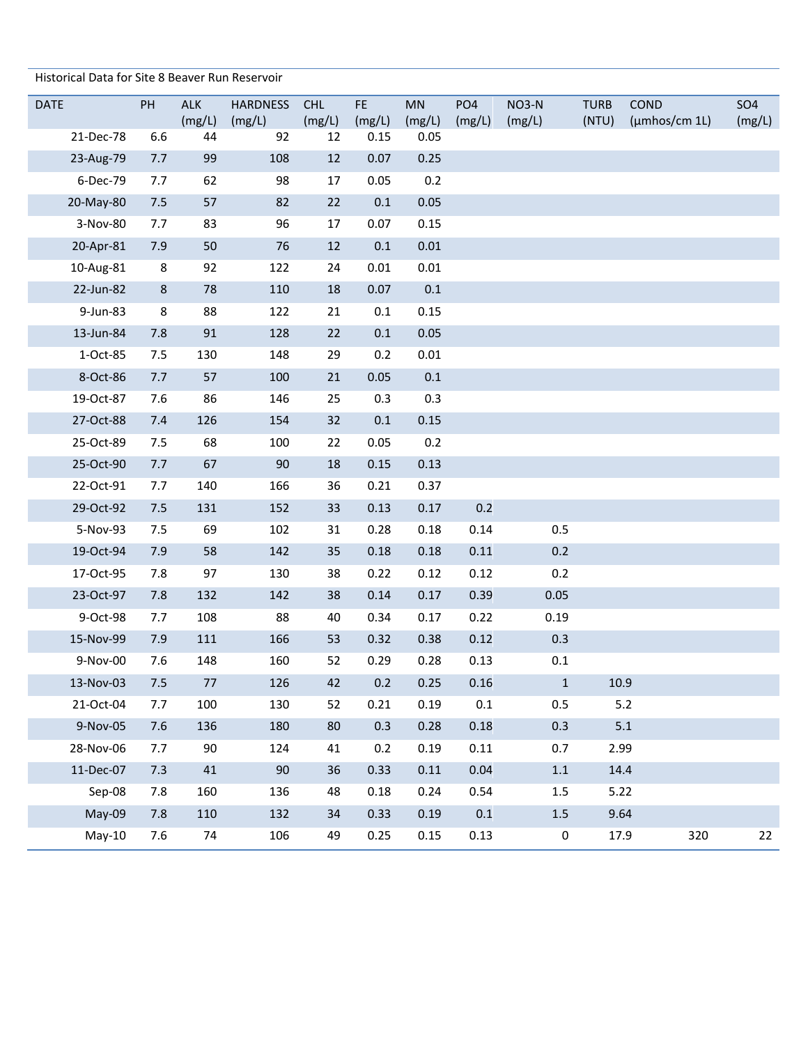| Historical Data for Site 8 Beaver Run Reservoir |     |              |                 |              |                |                |                 |              |             |               |            |
|-------------------------------------------------|-----|--------------|-----------------|--------------|----------------|----------------|-----------------|--------------|-------------|---------------|------------|
| <b>DATE</b>                                     | PH  | <b>ALK</b>   | <b>HARDNESS</b> | <b>CHL</b>   | FE.            | <b>MN</b>      | PO <sub>4</sub> | NO3-N        | <b>TURB</b> | COND          | <b>SO4</b> |
| 21-Dec-78                                       | 6.6 | (mg/L)<br>44 | (mg/L)<br>92    | (mg/L)<br>12 | (mg/L)<br>0.15 | (mg/L)<br>0.05 | (mg/L)          | (mg/L)       | (NTU)       | (µmhos/cm 1L) | (mg/L)     |
| 23-Aug-79                                       | 7.7 | 99           | 108             | 12           | 0.07           | 0.25           |                 |              |             |               |            |
| 6-Dec-79                                        | 7.7 | 62           | 98              | 17           | 0.05           | 0.2            |                 |              |             |               |            |
| 20-May-80                                       | 7.5 | 57           | 82              | 22           | 0.1            | 0.05           |                 |              |             |               |            |
| 3-Nov-80                                        | 7.7 | 83           | 96              | 17           | 0.07           | 0.15           |                 |              |             |               |            |
| 20-Apr-81                                       | 7.9 | 50           | 76              | 12           | 0.1            | 0.01           |                 |              |             |               |            |
| 10-Aug-81                                       | 8   | 92           | 122             | 24           | 0.01           | 0.01           |                 |              |             |               |            |
| 22-Jun-82                                       | 8   | 78           | 110             | 18           | 0.07           | $0.1\,$        |                 |              |             |               |            |
| 9-Jun-83                                        | 8   | 88           | 122             | 21           | 0.1            | 0.15           |                 |              |             |               |            |
| 13-Jun-84                                       | 7.8 | 91           | 128             | 22           | 0.1            | 0.05           |                 |              |             |               |            |
| 1-Oct-85                                        | 7.5 | 130          | 148             | 29           | 0.2            | 0.01           |                 |              |             |               |            |
| 8-Oct-86                                        | 7.7 | 57           | 100             | 21           | 0.05           | $0.1\,$        |                 |              |             |               |            |
| 19-Oct-87                                       | 7.6 | 86           | 146             | 25           | 0.3            | 0.3            |                 |              |             |               |            |
| 27-Oct-88                                       | 7.4 | 126          | 154             | 32           | 0.1            | 0.15           |                 |              |             |               |            |
| 25-Oct-89                                       | 7.5 | 68           | 100             | 22           | 0.05           | 0.2            |                 |              |             |               |            |
| 25-Oct-90                                       | 7.7 | 67           | 90              | 18           | 0.15           | 0.13           |                 |              |             |               |            |
| 22-Oct-91                                       | 7.7 | 140          | 166             | 36           | 0.21           | 0.37           |                 |              |             |               |            |
| 29-Oct-92                                       | 7.5 | 131          | 152             | 33           | 0.13           | 0.17           | 0.2             |              |             |               |            |
| 5-Nov-93                                        | 7.5 | 69           | 102             | 31           | 0.28           | 0.18           | 0.14            | 0.5          |             |               |            |
| 19-Oct-94                                       | 7.9 | 58           | 142             | 35           | 0.18           | 0.18           | 0.11            | 0.2          |             |               |            |
| 17-Oct-95                                       | 7.8 | 97           | 130             | 38           | 0.22           | 0.12           | 0.12            | 0.2          |             |               |            |
| 23-Oct-97                                       | 7.8 | 132          | 142             | 38           | 0.14           | 0.17           | 0.39            | 0.05         |             |               |            |
| 9-Oct-98                                        | 7.7 | 108          | 88              | 40           | 0.34           | 0.17           | 0.22            | 0.19         |             |               |            |
| 15-Nov-99                                       | 7.9 | 111          | 166             | 53           | 0.32           | 0.38           | 0.12            | 0.3          |             |               |            |
| 9-Nov-00                                        | 7.6 | 148          | 160             | 52           | 0.29           | 0.28           | 0.13            | 0.1          |             |               |            |
| 13-Nov-03                                       | 7.5 | 77           | 126             | 42           | 0.2            | 0.25           | 0.16            | $\mathbf{1}$ | 10.9        |               |            |
| 21-Oct-04                                       | 7.7 | 100          | 130             | 52           | 0.21           | 0.19           | 0.1             | 0.5          |             | 5.2           |            |
| 9-Nov-05                                        | 7.6 | 136          | 180             | 80           | 0.3            | 0.28           | 0.18            | 0.3          |             | 5.1           |            |
| 28-Nov-06                                       | 7.7 | 90           | 124             | 41           | 0.2            | 0.19           | 0.11            | 0.7          | 2.99        |               |            |
| 11-Dec-07                                       | 7.3 | 41           | 90              | 36           | 0.33           | 0.11           | 0.04            | $1.1\,$      | 14.4        |               |            |
| Sep-08                                          | 7.8 | 160          | 136             | 48           | 0.18           | 0.24           | 0.54            | 1.5          | 5.22        |               |            |
| May-09                                          | 7.8 | 110          | 132             | 34           | 0.33           | 0.19           | $0.1\,$         | $1.5\,$      | 9.64        |               |            |
| $May-10$                                        | 7.6 | 74           | 106             | 49           | 0.25           | 0.15           | 0.13            | 0            | 17.9        | 320           | 22         |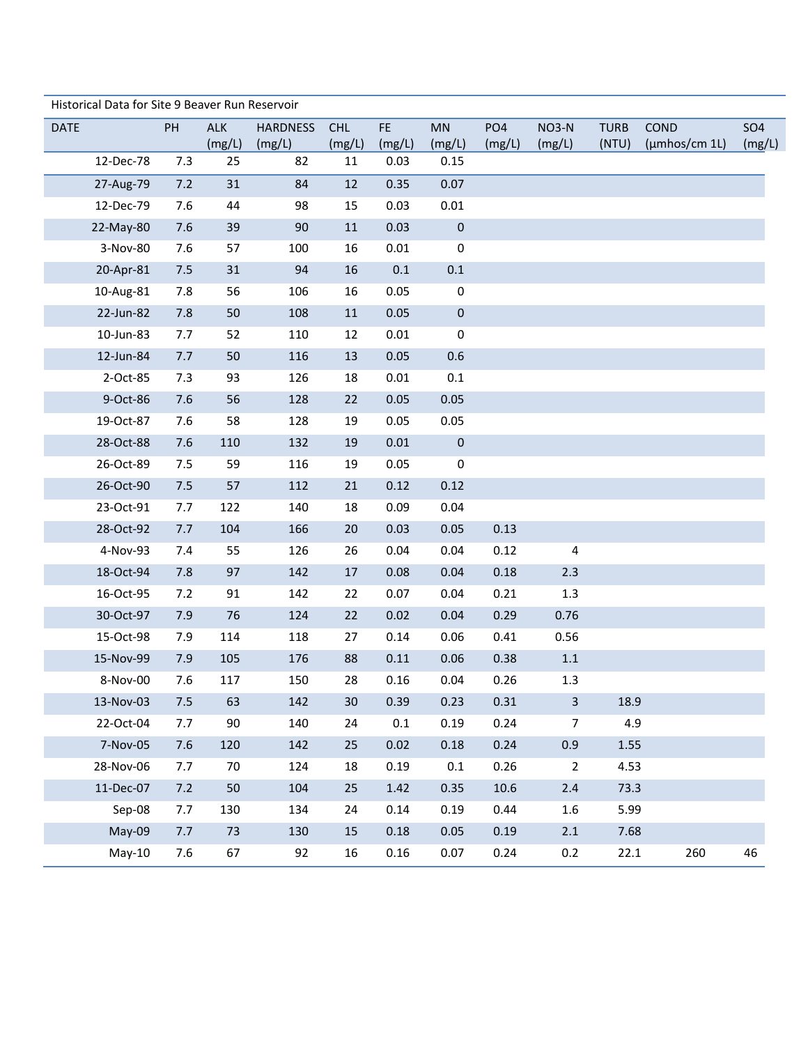|             | Historical Data for Site 9 Beaver Run Reservoir |     |              |                 |              |                |                |                 |                         |             |                     |            |
|-------------|-------------------------------------------------|-----|--------------|-----------------|--------------|----------------|----------------|-----------------|-------------------------|-------------|---------------------|------------|
| <b>DATE</b> |                                                 | PH  | ALK          | <b>HARDNESS</b> | <b>CHL</b>   | FE.            | MN             | PO <sub>4</sub> | NO3-N                   | <b>TURB</b> | COND                | <b>SO4</b> |
|             | 12-Dec-78                                       | 7.3 | (mg/L)<br>25 | (mg/L)<br>82    | (mg/L)<br>11 | (mg/L)<br>0.03 | (mg/L)<br>0.15 | (mg/L)          | (mg/L)                  | (NTU)       | $(\mu m$ hos/cm 1L) | (mg/L)     |
|             |                                                 |     |              |                 |              |                |                |                 |                         |             |                     |            |
|             | 27-Aug-79                                       | 7.2 | 31           | 84              | 12           | 0.35           | 0.07           |                 |                         |             |                     |            |
|             | 12-Dec-79                                       | 7.6 | 44           | 98              | 15           | 0.03           | 0.01           |                 |                         |             |                     |            |
|             | 22-May-80                                       | 7.6 | 39           | 90              | 11           | 0.03           | $\pmb{0}$      |                 |                         |             |                     |            |
|             | 3-Nov-80                                        | 7.6 | 57           | 100             | 16           | 0.01           | 0              |                 |                         |             |                     |            |
|             | 20-Apr-81                                       | 7.5 | 31           | 94              | 16           | 0.1            | 0.1            |                 |                         |             |                     |            |
|             | 10-Aug-81                                       | 7.8 | 56           | 106             | 16           | 0.05           | 0              |                 |                         |             |                     |            |
|             | 22-Jun-82                                       | 7.8 | 50           | 108             | 11           | 0.05           | $\pmb{0}$      |                 |                         |             |                     |            |
|             | 10-Jun-83                                       | 7.7 | 52           | 110             | 12           | 0.01           | $\pmb{0}$      |                 |                         |             |                     |            |
|             | 12-Jun-84                                       | 7.7 | 50           | 116             | 13           | 0.05           | 0.6            |                 |                         |             |                     |            |
|             | 2-Oct-85                                        | 7.3 | 93           | 126             | 18           | 0.01           | 0.1            |                 |                         |             |                     |            |
|             | 9-Oct-86                                        | 7.6 | 56           | 128             | 22           | 0.05           | 0.05           |                 |                         |             |                     |            |
|             | 19-Oct-87                                       | 7.6 | 58           | 128             | 19           | 0.05           | 0.05           |                 |                         |             |                     |            |
|             | 28-Oct-88                                       | 7.6 | 110          | 132             | 19           | 0.01           | $\pmb{0}$      |                 |                         |             |                     |            |
|             | 26-Oct-89                                       | 7.5 | 59           | 116             | 19           | 0.05           | 0              |                 |                         |             |                     |            |
|             | 26-Oct-90                                       | 7.5 | 57           | 112             | 21           | 0.12           | 0.12           |                 |                         |             |                     |            |
|             | 23-Oct-91                                       | 7.7 | 122          | 140             | 18           | 0.09           | 0.04           |                 |                         |             |                     |            |
|             | 28-Oct-92                                       | 7.7 | 104          | 166             | 20           | 0.03           | 0.05           | 0.13            |                         |             |                     |            |
|             | 4-Nov-93                                        | 7.4 | 55           | 126             | 26           | 0.04           | 0.04           | 0.12            | $\overline{4}$          |             |                     |            |
|             | 18-Oct-94                                       | 7.8 | 97           | 142             | 17           | 0.08           | 0.04           | 0.18            | 2.3                     |             |                     |            |
|             | 16-Oct-95                                       | 7.2 | 91           | 142             | 22           | 0.07           | 0.04           | 0.21            | 1.3                     |             |                     |            |
|             | 30-Oct-97                                       | 7.9 | 76           | 124             | 22           | 0.02           | 0.04           | 0.29            | 0.76                    |             |                     |            |
|             | 15-Oct-98                                       | 7.9 | 114          | 118             | 27           | 0.14           | 0.06           | 0.41            | 0.56                    |             |                     |            |
|             | 15-Nov-99                                       | 7.9 | 105          | 176             | 88           | 0.11           | 0.06           | 0.38            | $1.1\,$                 |             |                     |            |
|             | 8-Nov-00                                        | 7.6 | 117          | 150             | 28           | 0.16           | 0.04           | 0.26            | 1.3                     |             |                     |            |
|             | 13-Nov-03                                       | 7.5 | 63           | 142             | 30           | 0.39           | 0.23           | 0.31            | $\overline{\mathbf{3}}$ | 18.9        |                     |            |
|             | 22-Oct-04                                       | 7.7 | 90           | 140             | 24           | 0.1            | 0.19           | 0.24            | $\overline{7}$          | 4.9         |                     |            |
|             | 7-Nov-05                                        | 7.6 | 120          | 142             | 25           | 0.02           | 0.18           | 0.24            | 0.9                     | 1.55        |                     |            |
|             | 28-Nov-06                                       | 7.7 | 70           | 124             | 18           | 0.19           | 0.1            | 0.26            | $\overline{2}$          | 4.53        |                     |            |
|             | 11-Dec-07                                       | 7.2 | 50           | 104             | 25           | 1.42           | 0.35           | 10.6            | $2.4$                   | 73.3        |                     |            |
|             | Sep-08                                          | 7.7 | 130          | 134             | 24           | 0.14           | 0.19           | 0.44            | 1.6                     | 5.99        |                     |            |
|             | May-09                                          | 7.7 | 73           | 130             | 15           | 0.18           | 0.05           | 0.19            | 2.1                     | 7.68        |                     |            |
|             | $May-10$                                        | 7.6 | 67           | 92              | 16           | 0.16           | 0.07           | 0.24            | 0.2                     | 22.1        | 260                 | 46         |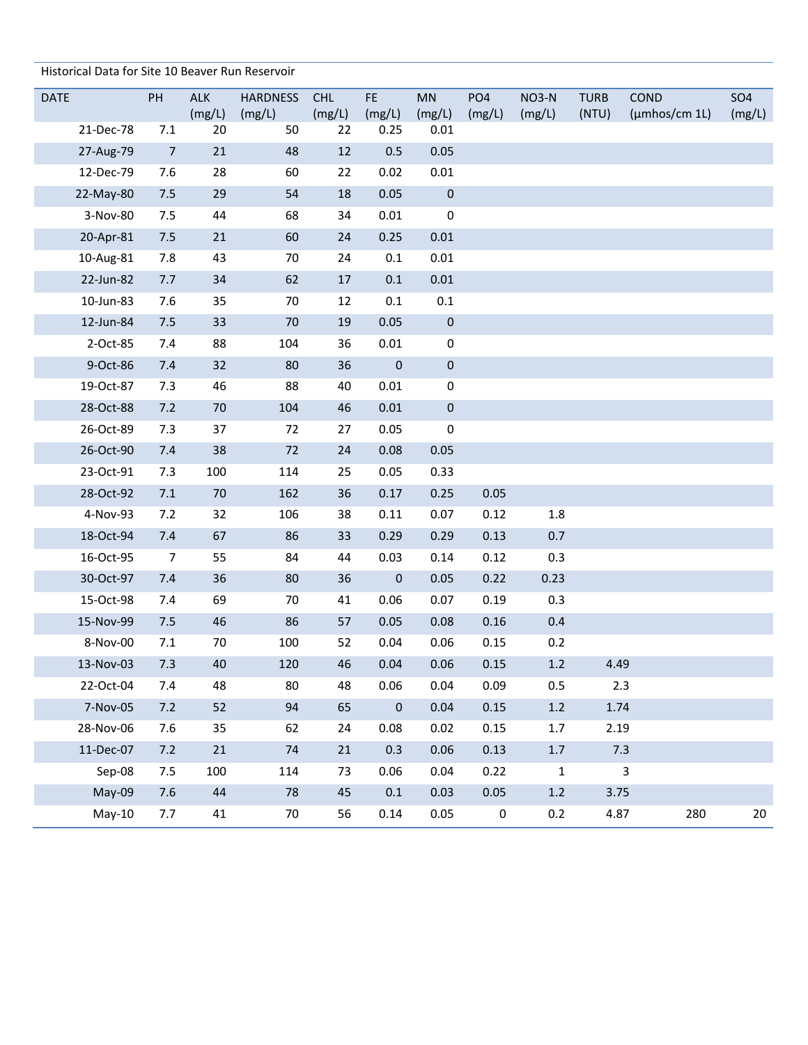Historical Data for Site 10 Beaver Run Reservoir

| <b>DATE</b> | PH             | <b>ALK</b>   | <b>HARDNESS</b> | <b>CHL</b>   | FE.              | <b>MN</b>      | PO <sub>4</sub> | NO3-N        | <b>TURB</b> | <b>COND</b>   | <b>SO4</b> |
|-------------|----------------|--------------|-----------------|--------------|------------------|----------------|-----------------|--------------|-------------|---------------|------------|
| 21-Dec-78   | 7.1            | (mg/L)<br>20 | (mg/L)<br>50    | (mg/L)<br>22 | (mg/L)<br>0.25   | (mg/L)<br>0.01 | (mg/L)          | (mg/L)       | (NTU)       | (µmhos/cm 1L) | (mg/L)     |
| 27-Aug-79   | $\overline{7}$ | 21           | 48              | 12           | 0.5              | 0.05           |                 |              |             |               |            |
| 12-Dec-79   | 7.6            | 28           | 60              | 22           | 0.02             | $0.01\,$       |                 |              |             |               |            |
| 22-May-80   | 7.5            | 29           | 54              | 18           | 0.05             | $\pmb{0}$      |                 |              |             |               |            |
| 3-Nov-80    | 7.5            | 44           | 68              | 34           | 0.01             | 0              |                 |              |             |               |            |
| 20-Apr-81   | 7.5            | 21           | 60              | 24           | 0.25             | 0.01           |                 |              |             |               |            |
| 10-Aug-81   | 7.8            | 43           | 70              | 24           | 0.1              | 0.01           |                 |              |             |               |            |
| 22-Jun-82   | 7.7            | 34           | 62              | 17           | $0.1\,$          | $0.01\,$       |                 |              |             |               |            |
| 10-Jun-83   | 7.6            | 35           | 70              | 12           | $0.1\,$          | $0.1\,$        |                 |              |             |               |            |
| 12-Jun-84   | 7.5            | 33           | 70              | 19           | 0.05             | 0              |                 |              |             |               |            |
| 2-Oct-85    | 7.4            | 88           | 104             | 36           | $0.01\,$         | $\pmb{0}$      |                 |              |             |               |            |
| 9-Oct-86    | 7.4            | 32           | 80              | 36           | $\mathbf 0$      | 0              |                 |              |             |               |            |
| 19-Oct-87   | 7.3            | 46           | 88              | 40           | 0.01             | 0              |                 |              |             |               |            |
| 28-Oct-88   | 7.2            | 70           | 104             | 46           | 0.01             | $\pmb{0}$      |                 |              |             |               |            |
| 26-Oct-89   | 7.3            | 37           | 72              | 27           | 0.05             | 0              |                 |              |             |               |            |
| 26-Oct-90   | 7.4            | 38           | 72              | 24           | 0.08             | 0.05           |                 |              |             |               |            |
| 23-Oct-91   | 7.3            | 100          | 114             | 25           | 0.05             | 0.33           |                 |              |             |               |            |
| 28-Oct-92   | 7.1            | 70           | 162             | 36           | 0.17             | 0.25           | 0.05            |              |             |               |            |
| 4-Nov-93    | 7.2            | 32           | 106             | 38           | 0.11             | 0.07           | 0.12            | 1.8          |             |               |            |
| 18-Oct-94   | 7.4            | 67           | 86              | 33           | 0.29             | 0.29           | 0.13            | 0.7          |             |               |            |
| 16-Oct-95   | $\overline{7}$ | 55           | 84              | 44           | 0.03             | 0.14           | 0.12            | 0.3          |             |               |            |
| 30-Oct-97   | 7.4            | 36           | 80              | 36           | $\boldsymbol{0}$ | 0.05           | 0.22            | 0.23         |             |               |            |
| 15-Oct-98   | 7.4            | 69           | 70              | 41           | 0.06             | 0.07           | 0.19            | 0.3          |             |               |            |
| 15-Nov-99   | 7.5            | 46           | 86              | 57           | 0.05             | 0.08           | 0.16            | 0.4          |             |               |            |
| 8-Nov-00    | 7.1            | 70           | 100             | 52           | 0.04             | 0.06           | 0.15            | 0.2          |             |               |            |
| 13-Nov-03   | 7.3            | 40           | 120             | 46           | 0.04             | 0.06           | 0.15            | $1.2$        | 4.49        |               |            |
| 22-Oct-04   | 7.4            | 48           | 80              | 48           | 0.06             | 0.04           | 0.09            | 0.5          |             | 2.3           |            |
| 7-Nov-05    | 7.2            | 52           | 94              | 65           | $\mathbf 0$      | 0.04           | 0.15            | $1.2\,$      | 1.74        |               |            |
| 28-Nov-06   | 7.6            | 35           | 62              | 24           | 0.08             | 0.02           | 0.15            | 1.7          | 2.19        |               |            |
| 11-Dec-07   | 7.2            | 21           | 74              | 21           | 0.3              | 0.06           | 0.13            | $1.7\,$      |             | 7.3           |            |
| Sep-08      | 7.5            | 100          | 114             | 73           | 0.06             | 0.04           | 0.22            | $\mathbf{1}$ |             | $\mathbf{3}$  |            |
| May-09      | 7.6            | 44           | 78              | 45           | 0.1              | 0.03           | 0.05            | $1.2\,$      | 3.75        |               |            |
| $May-10$    | 7.7            | 41           | 70              | 56           | 0.14             | 0.05           | $\mathbf 0$     | 0.2          | 4.87        | 280           | 20         |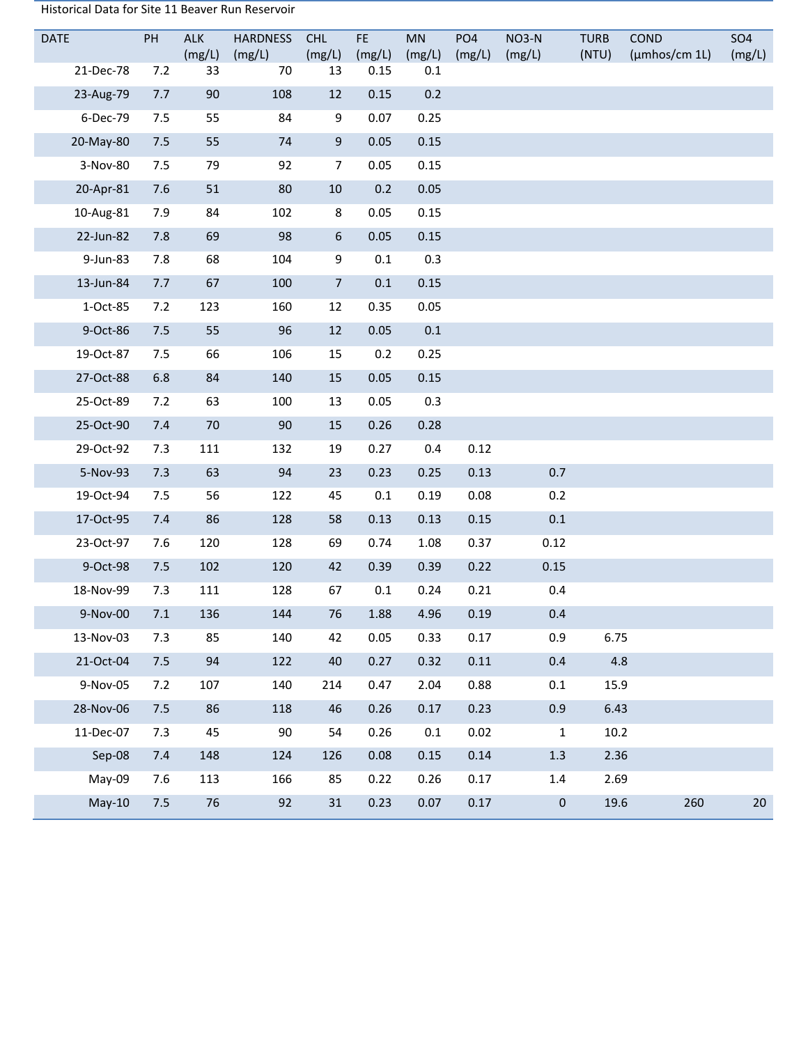| Historical Data for Site 11 Beaver Run Reservoir |  |
|--------------------------------------------------|--|
|--------------------------------------------------|--|

| <b>DATE</b>  | PH  | <b>ALK</b><br>(mg/L) | HARDNESS<br>(mg/L) | <b>CHL</b><br>(mg/L) | FE.<br>(mg/L) | <b>MN</b><br>(mg/L) | PO <sub>4</sub><br>(mg/L) | NO3-N<br>(mg/L) | <b>TURB</b><br>(NTU) | <b>COND</b><br>$(\mu m$ hos/cm 1L $)$ | <b>SO4</b><br>(mg/L) |
|--------------|-----|----------------------|--------------------|----------------------|---------------|---------------------|---------------------------|-----------------|----------------------|---------------------------------------|----------------------|
| 21-Dec-78    | 7.2 | 33                   | 70                 | 13                   | 0.15          | 0.1                 |                           |                 |                      |                                       |                      |
| 23-Aug-79    | 7.7 | 90                   | 108                | 12                   | 0.15          | 0.2                 |                           |                 |                      |                                       |                      |
| 6-Dec-79     | 7.5 | 55                   | 84                 | 9                    | 0.07          | 0.25                |                           |                 |                      |                                       |                      |
| 20-May-80    | 7.5 | 55                   | 74                 | $9\,$                | 0.05          | 0.15                |                           |                 |                      |                                       |                      |
| 3-Nov-80     | 7.5 | 79                   | 92                 | $\overline{7}$       | 0.05          | 0.15                |                           |                 |                      |                                       |                      |
| 20-Apr-81    | 7.6 | 51                   | 80                 | $10\,$               | 0.2           | 0.05                |                           |                 |                      |                                       |                      |
| 10-Aug-81    | 7.9 | 84                   | 102                | 8                    | 0.05          | 0.15                |                           |                 |                      |                                       |                      |
| 22-Jun-82    | 7.8 | 69                   | 98                 | $\boldsymbol{6}$     | 0.05          | 0.15                |                           |                 |                      |                                       |                      |
| 9-Jun-83     | 7.8 | 68                   | 104                | 9                    | 0.1           | 0.3                 |                           |                 |                      |                                       |                      |
| 13-Jun-84    | 7.7 | 67                   | 100                | $\overline{7}$       | 0.1           | 0.15                |                           |                 |                      |                                       |                      |
| 1-Oct-85     | 7.2 | 123                  | 160                | 12                   | 0.35          | 0.05                |                           |                 |                      |                                       |                      |
| 9-Oct-86     | 7.5 | 55                   | 96                 | 12                   | 0.05          | $0.1\,$             |                           |                 |                      |                                       |                      |
| 19-Oct-87    | 7.5 | 66                   | 106                | 15                   | 0.2           | 0.25                |                           |                 |                      |                                       |                      |
| 27-Oct-88    | 6.8 | 84                   | 140                | 15                   | 0.05          | 0.15                |                           |                 |                      |                                       |                      |
| 25-Oct-89    | 7.2 | 63                   | 100                | 13                   | 0.05          | 0.3                 |                           |                 |                      |                                       |                      |
| 25-Oct-90    | 7.4 | 70                   | 90                 | 15                   | 0.26          | 0.28                |                           |                 |                      |                                       |                      |
| 29-Oct-92    | 7.3 | 111                  | 132                | 19                   | 0.27          | 0.4                 | 0.12                      |                 |                      |                                       |                      |
| 5-Nov-93     | 7.3 | 63                   | 94                 | 23                   | 0.23          | 0.25                | 0.13                      | 0.7             |                      |                                       |                      |
| 19-Oct-94    | 7.5 | 56                   | 122                | 45                   | $0.1\,$       | 0.19                | 0.08                      | 0.2             |                      |                                       |                      |
| 17-Oct-95    | 7.4 | 86                   | 128                | 58                   | 0.13          | 0.13                | 0.15                      | $0.1\,$         |                      |                                       |                      |
| 23-Oct-97    | 7.6 | 120                  | 128                | 69                   | 0.74          | 1.08                | 0.37                      | 0.12            |                      |                                       |                      |
| 9-Oct-98     | 7.5 | 102                  | 120                | 42                   | 0.39          | 0.39                | 0.22                      | 0.15            |                      |                                       |                      |
| 18-Nov-99    | 7.3 | 111                  | 128                | 67                   | $0.1\,$       | 0.24                | 0.21                      | 0.4             |                      |                                       |                      |
| 9-Nov-00 7.1 |     | 136                  | 144                | 76                   | 1.88          | 4.96                | 0.19                      | 0.4             |                      |                                       |                      |
| 13-Nov-03    | 7.3 | 85                   | 140                | 42                   | 0.05          | 0.33                | 0.17                      | 0.9             | 6.75                 |                                       |                      |
| 21-Oct-04    | 7.5 | 94                   | 122                | 40                   | 0.27          | 0.32                | 0.11                      | 0.4             | 4.8                  |                                       |                      |
| 9-Nov-05     | 7.2 | 107                  | 140                | 214                  | 0.47          | 2.04                | 0.88                      | 0.1             | 15.9                 |                                       |                      |
| 28-Nov-06    | 7.5 | 86                   | 118                | 46                   | 0.26          | 0.17                | 0.23                      | 0.9             | 6.43                 |                                       |                      |
| 11-Dec-07    | 7.3 | 45                   | 90                 | 54                   | 0.26          | $0.1\,$             | 0.02                      | $\mathbf 1$     | $10.2\,$             |                                       |                      |
| Sep-08       | 7.4 | 148                  | 124                | 126                  | 0.08          | 0.15                | 0.14                      | 1.3             | 2.36                 |                                       |                      |
| May-09       | 7.6 | 113                  | 166                | 85                   | 0.22          | 0.26                | 0.17                      | $1.4\,$         | 2.69                 |                                       |                      |
| $May-10$     | 7.5 | 76                   | 92                 | 31                   | 0.23          | 0.07                | 0.17                      | $\pmb{0}$       | 19.6                 | 260                                   | 20                   |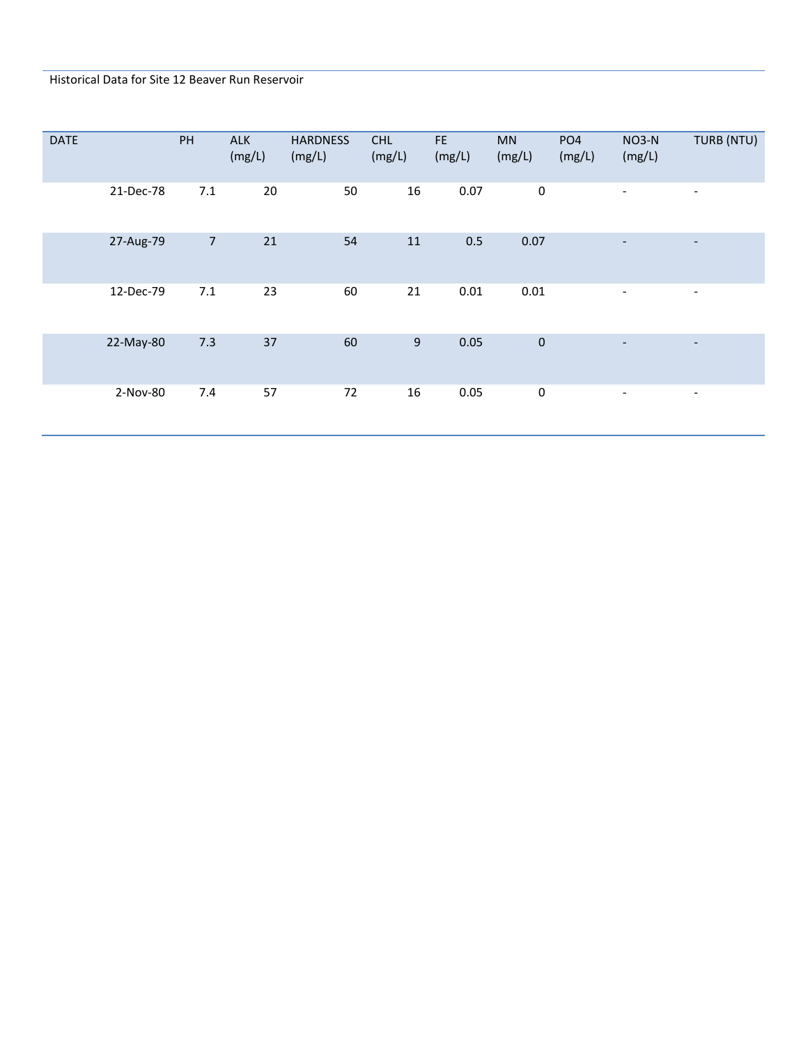## Historical Data for Site 12 Beaver Run Reservoir

| <b>DATE</b> |           | PH             | <b>ALK</b><br>(mg/L) | <b>HARDNESS</b><br>(mg/L) | <b>CHL</b><br>(mg/L) | FE.<br>(mg/L) | MN<br>(mg/L) | PO <sub>4</sub><br>(mg/L) | NO3-N<br>(mg/L)          | TURB (NTU)               |
|-------------|-----------|----------------|----------------------|---------------------------|----------------------|---------------|--------------|---------------------------|--------------------------|--------------------------|
|             | 21-Dec-78 | 7.1            | 20                   | 50                        | 16                   | 0.07          | $\pmb{0}$    |                           | $\overline{\phantom{a}}$ | $\overline{\phantom{a}}$ |
|             | 27-Aug-79 | $\overline{7}$ | 21                   | 54                        | 11                   | 0.5           | 0.07         |                           | $\overline{\phantom{0}}$ | -                        |
|             | 12-Dec-79 | 7.1            | 23                   | 60                        | 21                   | 0.01          | 0.01         |                           | $\overline{\phantom{a}}$ | $\overline{\phantom{a}}$ |
|             | 22-May-80 | 7.3            | 37                   | 60                        | 9                    | 0.05          | $\pmb{0}$    |                           | $\overline{\phantom{a}}$ | -                        |
|             | 2-Nov-80  | 7.4            | 57                   | 72                        | 16                   | 0.05          | $\pmb{0}$    |                           | $\overline{\phantom{a}}$ | $\overline{\phantom{a}}$ |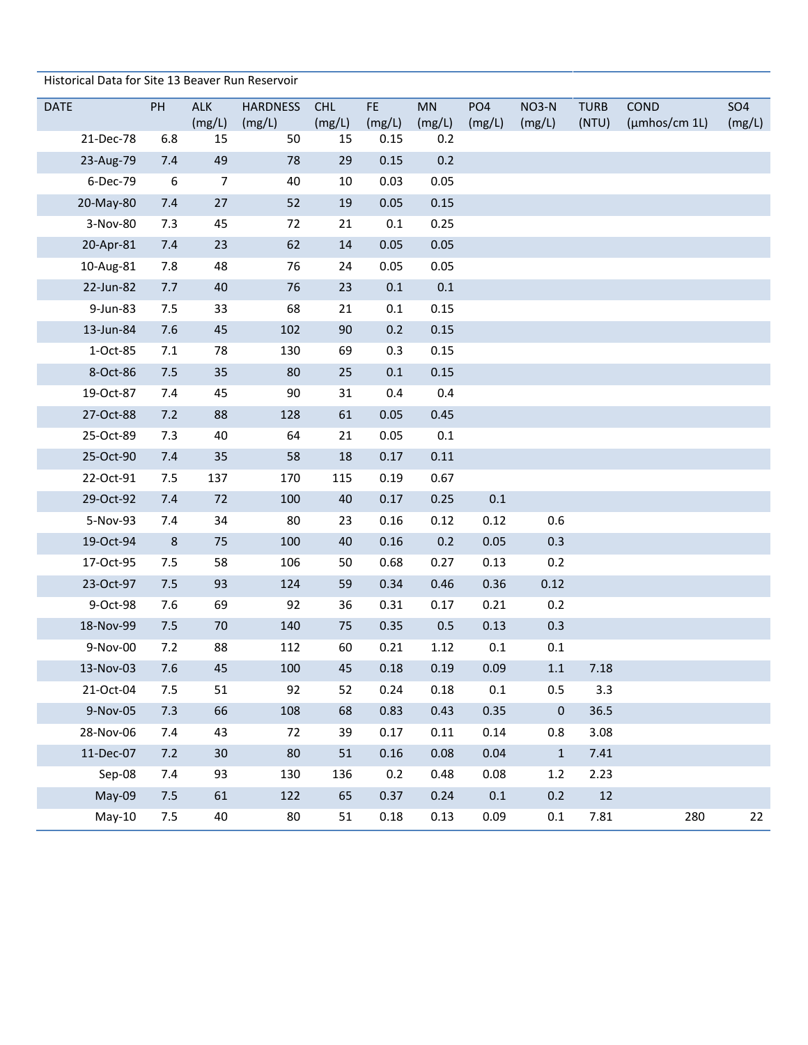| Historical Data for Site 13 Beaver Run Reservoir |  |  |
|--------------------------------------------------|--|--|
|--------------------------------------------------|--|--|

| <b>DATE</b> | PH               | <b>ALK</b><br>(mg/L) | <b>HARDNESS</b><br>(mg/L) | <b>CHL</b><br>(mg/L) | FE.<br>(mg/L) | MN<br>(mg/L) | PO <sub>4</sub><br>(mg/L) | NO3-N<br>(mg/L) | <b>TURB</b><br>(NTU) | COND<br>$(\mu m$ hos/cm 1L $)$ | <b>SO4</b><br>(mg/L) |
|-------------|------------------|----------------------|---------------------------|----------------------|---------------|--------------|---------------------------|-----------------|----------------------|--------------------------------|----------------------|
| 21-Dec-78   | 6.8              | 15                   | 50                        | 15                   | 0.15          | 0.2          |                           |                 |                      |                                |                      |
| 23-Aug-79   | 7.4              | 49                   | 78                        | 29                   | 0.15          | 0.2          |                           |                 |                      |                                |                      |
| 6-Dec-79    | $\boldsymbol{6}$ | $\overline{7}$       | 40                        | 10                   | 0.03          | 0.05         |                           |                 |                      |                                |                      |
| 20-May-80   | 7.4              | 27                   | 52                        | 19                   | 0.05          | 0.15         |                           |                 |                      |                                |                      |
| 3-Nov-80    | 7.3              | 45                   | 72                        | 21                   | 0.1           | 0.25         |                           |                 |                      |                                |                      |
| 20-Apr-81   | 7.4              | 23                   | 62                        | 14                   | 0.05          | 0.05         |                           |                 |                      |                                |                      |
| 10-Aug-81   | 7.8              | 48                   | 76                        | 24                   | 0.05          | 0.05         |                           |                 |                      |                                |                      |
| 22-Jun-82   | 7.7              | 40                   | 76                        | 23                   | 0.1           | $0.1\,$      |                           |                 |                      |                                |                      |
| 9-Jun-83    | 7.5              | 33                   | 68                        | 21                   | 0.1           | 0.15         |                           |                 |                      |                                |                      |
| 13-Jun-84   | 7.6              | 45                   | 102                       | 90                   | 0.2           | 0.15         |                           |                 |                      |                                |                      |
| 1-Oct-85    | 7.1              | 78                   | 130                       | 69                   | 0.3           | 0.15         |                           |                 |                      |                                |                      |
| 8-Oct-86    | 7.5              | 35                   | 80                        | 25                   | $0.1\,$       | 0.15         |                           |                 |                      |                                |                      |
| 19-Oct-87   | 7.4              | 45                   | 90                        | 31                   | 0.4           | 0.4          |                           |                 |                      |                                |                      |
| 27-Oct-88   | 7.2              | 88                   | 128                       | 61                   | 0.05          | 0.45         |                           |                 |                      |                                |                      |
| 25-Oct-89   | 7.3              | 40                   | 64                        | 21                   | 0.05          | $0.1\,$      |                           |                 |                      |                                |                      |
| 25-Oct-90   | 7.4              | 35                   | 58                        | 18                   | 0.17          | 0.11         |                           |                 |                      |                                |                      |
| 22-Oct-91   | 7.5              | 137                  | 170                       | 115                  | 0.19          | 0.67         |                           |                 |                      |                                |                      |
| 29-Oct-92   | 7.4              | 72                   | 100                       | 40                   | 0.17          | 0.25         | 0.1                       |                 |                      |                                |                      |
| 5-Nov-93    | 7.4              | 34                   | 80                        | 23                   | 0.16          | 0.12         | 0.12                      | 0.6             |                      |                                |                      |
| 19-Oct-94   | $\,$ 8 $\,$      | 75                   | 100                       | 40                   | 0.16          | 0.2          | 0.05                      | 0.3             |                      |                                |                      |
| 17-Oct-95   | 7.5              | 58                   | 106                       | 50                   | 0.68          | 0.27         | 0.13                      | 0.2             |                      |                                |                      |
| 23-Oct-97   | 7.5              | 93                   | 124                       | 59                   | 0.34          | 0.46         | 0.36                      | 0.12            |                      |                                |                      |
| 9-Oct-98    | 7.6              | 69                   | 92                        | 36                   | 0.31          | 0.17         | 0.21                      | 0.2             |                      |                                |                      |
| 18-Nov-99   | 7.5              | 70                   | 140                       | 75                   | 0.35          | 0.5          | 0.13                      | 0.3             |                      |                                |                      |
| 9-Nov-00    | 7.2              | 88                   | 112                       | 60                   | 0.21          | 1.12         | 0.1                       | 0.1             |                      |                                |                      |
| 13-Nov-03   | 7.6              | 45                   | 100                       | 45                   | 0.18          | 0.19         | 0.09                      | $1.1\,$         | 7.18                 |                                |                      |
| 21-Oct-04   | $7.5$            | 51                   | 92                        | 52                   | 0.24          | 0.18         | $0.1\,$                   | 0.5             | 3.3                  |                                |                      |
| 9-Nov-05    | 7.3              | 66                   | 108                       | 68                   | 0.83          | 0.43         | 0.35                      | 0               | 36.5                 |                                |                      |
| 28-Nov-06   | 7.4              | 43                   | 72                        | 39                   | 0.17          | 0.11         | 0.14                      | 0.8             | 3.08                 |                                |                      |
| 11-Dec-07   | 7.2              | 30                   | 80                        | 51                   | 0.16          | 0.08         | 0.04                      | $\mathbf 1$     | 7.41                 |                                |                      |
| Sep-08      | 7.4              | 93                   | 130                       | 136                  | 0.2           | 0.48         | 0.08                      | $1.2\,$         | 2.23                 |                                |                      |
| May-09      | 7.5              | 61                   | 122                       | 65                   | 0.37          | 0.24         | 0.1                       | 0.2             | 12                   |                                |                      |
| $May-10$    | 7.5              | 40                   | 80                        | 51                   | $0.18\,$      | 0.13         | 0.09                      | 0.1             | 7.81                 | 280                            | 22                   |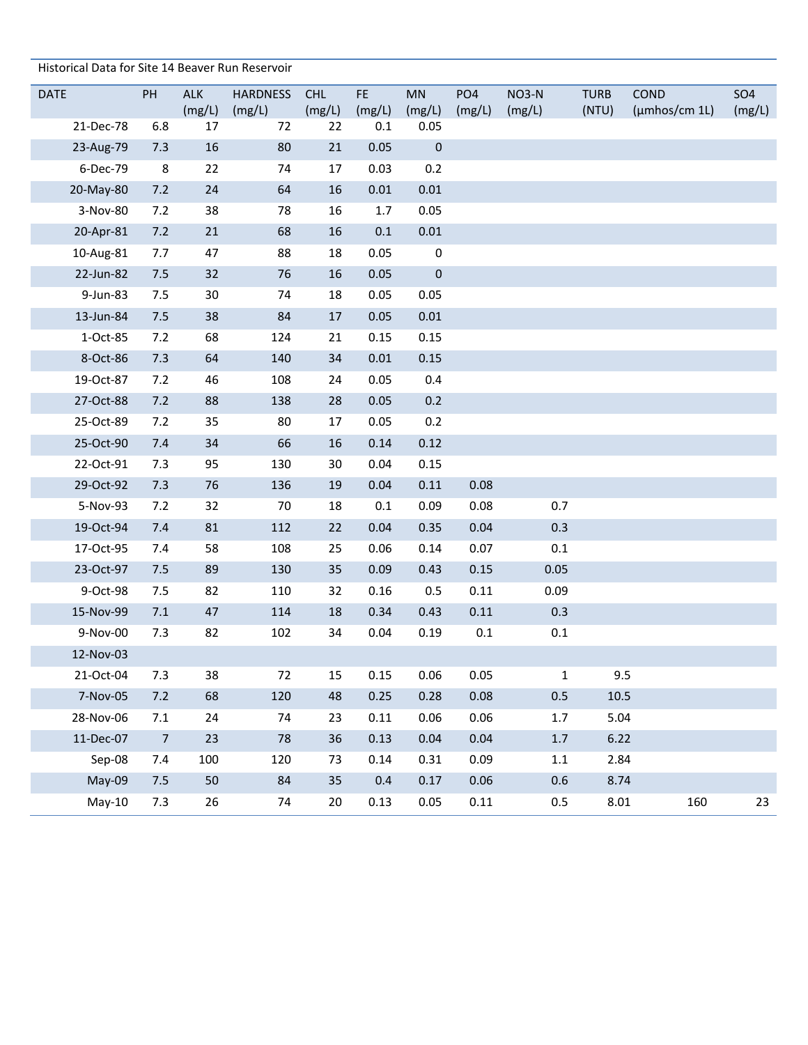Historical Data for Site 14 Beaver Run Reservoir

| <b>DATE</b> | PH             | <b>ALK</b>   | <b>HARDNESS</b> | <b>CHL</b>   | FE.           | MN               | PO <sub>4</sub> | NO3-N   | <b>TURB</b> | COND          | <b>SO4</b> |
|-------------|----------------|--------------|-----------------|--------------|---------------|------------------|-----------------|---------|-------------|---------------|------------|
| 21-Dec-78   | 6.8            | (mg/L)<br>17 | (mg/L)<br>72    | (mg/L)<br>22 | (mg/L)<br>0.1 | (mg/L)<br>0.05   | (mg/L)          | (mg/L)  | (NTU)       | (µmhos/cm 1L) | (mg/L)     |
| 23-Aug-79   | 7.3            | 16           | 80              | 21           | 0.05          | $\boldsymbol{0}$ |                 |         |             |               |            |
| 6-Dec-79    | 8              | 22           | 74              | 17           | 0.03          | 0.2              |                 |         |             |               |            |
| 20-May-80   | 7.2            | 24           | 64              | 16           | 0.01          | 0.01             |                 |         |             |               |            |
| 3-Nov-80    | 7.2            | 38           | 78              | 16           | 1.7           | 0.05             |                 |         |             |               |            |
| 20-Apr-81   | 7.2            | 21           | 68              | 16           | 0.1           | $0.01\,$         |                 |         |             |               |            |
| 10-Aug-81   | 7.7            | 47           | 88              | 18           | 0.05          | $\boldsymbol{0}$ |                 |         |             |               |            |
| 22-Jun-82   | 7.5            | 32           | 76              | $16\,$       | 0.05          | $\mathbf 0$      |                 |         |             |               |            |
| 9-Jun-83    | 7.5            | 30           | 74              | 18           | 0.05          | 0.05             |                 |         |             |               |            |
| 13-Jun-84   | 7.5            | 38           | 84              | 17           | 0.05          | 0.01             |                 |         |             |               |            |
| 1-Oct-85    | 7.2            | 68           | 124             | 21           | 0.15          | 0.15             |                 |         |             |               |            |
| 8-Oct-86    | 7.3            | 64           | 140             | 34           | 0.01          | 0.15             |                 |         |             |               |            |
| 19-Oct-87   | 7.2            | 46           | 108             | 24           | 0.05          | 0.4              |                 |         |             |               |            |
| 27-Oct-88   | 7.2            | 88           | 138             | 28           | 0.05          | 0.2              |                 |         |             |               |            |
| 25-Oct-89   | 7.2            | 35           | 80              | 17           | 0.05          | 0.2              |                 |         |             |               |            |
| 25-Oct-90   | 7.4            | 34           | 66              | $16\,$       | 0.14          | 0.12             |                 |         |             |               |            |
| 22-Oct-91   | 7.3            | 95           | 130             | $30\,$       | 0.04          | 0.15             |                 |         |             |               |            |
| 29-Oct-92   | 7.3            | 76           | 136             | 19           | 0.04          | 0.11             | 0.08            |         |             |               |            |
| 5-Nov-93    | 7.2            | 32           | 70              | 18           | 0.1           | 0.09             | 0.08            | 0.7     |             |               |            |
| 19-Oct-94   | 7.4            | 81           | 112             | 22           | 0.04          | 0.35             | 0.04            | 0.3     |             |               |            |
| 17-Oct-95   | 7.4            | 58           | 108             | 25           | 0.06          | 0.14             | 0.07            | 0.1     |             |               |            |
| 23-Oct-97   | 7.5            | 89           | 130             | 35           | 0.09          | 0.43             | 0.15            | 0.05    |             |               |            |
| 9-Oct-98    | 7.5            | 82           | 110             | 32           | 0.16          | 0.5              | 0.11            | 0.09    |             |               |            |
| 15-Nov-99   | 7.1            | 47           | 114             | 18           | 0.34          | 0.43             | 0.11            | 0.3     |             |               |            |
| 9-Nov-00    | 7.3            | 82           | 102             | 34           | 0.04          | 0.19             | 0.1             | 0.1     |             |               |            |
| 12-Nov-03   |                |              |                 |              |               |                  |                 |         |             |               |            |
| 21-Oct-04   | 7.3            | 38           | 72              | 15           | 0.15          | 0.06             | 0.05            | 1       |             | 9.5           |            |
| 7-Nov-05    | 7.2            | 68           | 120             | 48           | 0.25          | 0.28             | 0.08            | 0.5     | $10.5\,$    |               |            |
| 28-Nov-06   | $7.1\,$        | 24           | 74              | 23           | 0.11          | 0.06             | 0.06            | $1.7\,$ | 5.04        |               |            |
| 11-Dec-07   | $\overline{7}$ | 23           | 78              | 36           | 0.13          | 0.04             | 0.04            | $1.7$   | 6.22        |               |            |
| Sep-08      | 7.4            | 100          | 120             | 73           | 0.14          | 0.31             | 0.09            | 1.1     | 2.84        |               |            |
| May-09      | 7.5            | 50           | 84              | 35           | 0.4           | 0.17             | 0.06            | 0.6     | 8.74        |               |            |
| $May-10$    | 7.3            | 26           | 74              | 20           | 0.13          | 0.05             | 0.11            | 0.5     | $8.01\,$    | 160           | 23         |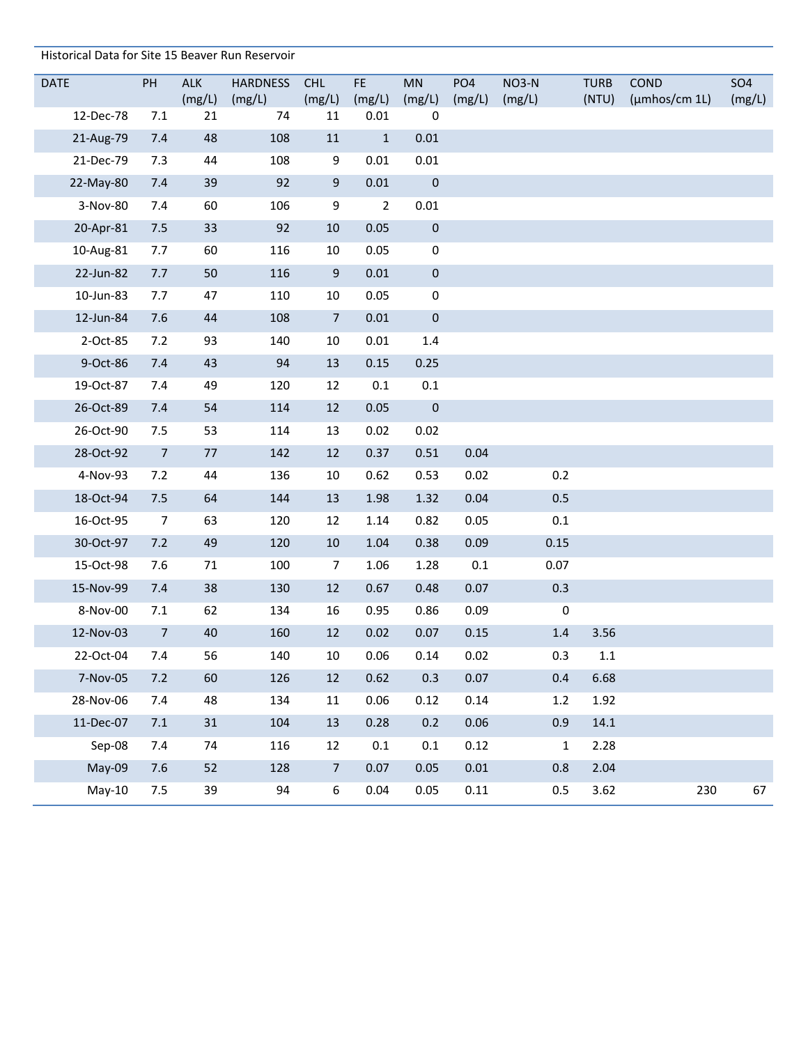| Historical Data for Site 15 Beaver Run Reservoir |                |              |                 |                  |                |                       |                 |              |                      |               |            |
|--------------------------------------------------|----------------|--------------|-----------------|------------------|----------------|-----------------------|-----------------|--------------|----------------------|---------------|------------|
| <b>DATE</b>                                      | PH             | <b>ALK</b>   | <b>HARDNESS</b> | <b>CHL</b>       | FE.            | <b>MN</b>             | PO <sub>4</sub> | <b>NO3-N</b> | <b>TURB</b>          | <b>COND</b>   | <b>SO4</b> |
| 12-Dec-78                                        | 7.1            | (mg/L)<br>21 | (mg/L)<br>74    | (mg/L)<br>11     | (mg/L)<br>0.01 | (mg/L)<br>$\mathbf 0$ | (mg/L)          | (mg/L)       | (NTU)                | (µmhos/cm 1L) | (mg/L)     |
| 21-Aug-79                                        | 7.4            | 48           | 108             | 11               | $\mathbf{1}$   | 0.01                  |                 |              |                      |               |            |
| 21-Dec-79                                        | 7.3            | 44           | 108             | 9                | 0.01           | 0.01                  |                 |              |                      |               |            |
| 22-May-80                                        | 7.4            | 39           | 92              | 9                | $0.01\,$       | $\bf{0}$              |                 |              |                      |               |            |
| 3-Nov-80                                         | 7.4            | 60           | 106             | 9                | $\overline{2}$ | 0.01                  |                 |              |                      |               |            |
| 20-Apr-81                                        | 7.5            | 33           | 92              | 10               | 0.05           | $\pmb{0}$             |                 |              |                      |               |            |
| 10-Aug-81                                        | 7.7            | 60           | 116             | 10               | 0.05           | $\boldsymbol{0}$      |                 |              |                      |               |            |
| 22-Jun-82                                        | 7.7            | 50           | 116             | $\boldsymbol{9}$ | 0.01           | $\pmb{0}$             |                 |              |                      |               |            |
| 10-Jun-83                                        | 7.7            | 47           | 110             | 10               | 0.05           | $\pmb{0}$             |                 |              |                      |               |            |
| 12-Jun-84                                        | 7.6            | 44           | 108             | $\overline{7}$   | 0.01           | $\pmb{0}$             |                 |              |                      |               |            |
| 2-Oct-85                                         | 7.2            | 93           | 140             | 10               | 0.01           | 1.4                   |                 |              |                      |               |            |
| 9-Oct-86                                         | 7.4            | 43           | 94              | 13               | 0.15           | 0.25                  |                 |              |                      |               |            |
| 19-Oct-87                                        | 7.4            | 49           | 120             | 12               | 0.1            | $0.1\,$               |                 |              |                      |               |            |
| 26-Oct-89                                        | 7.4            | 54           | 114             | 12               | 0.05           | $\mathbf 0$           |                 |              |                      |               |            |
| 26-Oct-90                                        | 7.5            | 53           | 114             | 13               | 0.02           | 0.02                  |                 |              |                      |               |            |
| 28-Oct-92                                        | $\overline{7}$ | 77           | 142             | 12               | 0.37           | 0.51                  | 0.04            |              |                      |               |            |
| 4-Nov-93                                         | 7.2            | 44           | 136             | 10               | 0.62           | 0.53                  | 0.02            |              | 0.2                  |               |            |
| 18-Oct-94                                        | 7.5            | 64           | 144             | 13               | 1.98           | 1.32                  | 0.04            | 0.5          |                      |               |            |
| 16-Oct-95                                        | $\overline{7}$ | 63           | 120             | 12               | 1.14           | 0.82                  | 0.05            | 0.1          |                      |               |            |
| 30-Oct-97                                        | 7.2            | 49           | 120             | 10               | 1.04           | 0.38                  | 0.09            | 0.15         |                      |               |            |
| 15-Oct-98                                        | 7.6            | 71           | 100             | $\overline{7}$   | 1.06           | 1.28                  | $0.1\,$         | 0.07         |                      |               |            |
| 15-Nov-99                                        | 7.4            | 38           | 130             | 12               | 0.67           | 0.48                  | 0.07            | 0.3          |                      |               |            |
| 8-Nov-00                                         | 7.1            | 62           | 134             | 16               | 0.95           | 0.86                  | 0.09            |              | $\pmb{0}$            |               |            |
| 12-Nov-03                                        | $\overline{7}$ | 40           | 160             | 12               | 0.02           | 0.07                  | 0.15            |              | $1.4\,$<br>3.56      |               |            |
| 22-Oct-04                                        | 7.4            | 56           | 140             | 10               | 0.06           | 0.14                  | 0.02            |              | 0.3<br>$1.1\,$       |               |            |
| 7-Nov-05                                         | 7.2            | 60           | 126             | 12               | 0.62           | 0.3                   | 0.07            |              | 0.4<br>6.68          |               |            |
| 28-Nov-06                                        | 7.4            | 48           | 134             | 11               | 0.06           | 0.12                  | 0.14            |              | 1.92<br>1.2          |               |            |
| 11-Dec-07                                        | 7.1            | 31           | 104             | 13               | 0.28           | 0.2                   | 0.06            |              | 0.9<br>14.1          |               |            |
| Sep-08                                           | 7.4            | 74           | 116             | 12               | $0.1\,$        | 0.1                   | 0.12            |              | 2.28<br>$\mathbf{1}$ |               |            |
| May-09                                           | 7.6            | 52           | 128             | $\overline{7}$   | 0.07           | 0.05                  | $0.01\,$        |              | 0.8<br>2.04          |               |            |
| $May-10$                                         | 7.5            | 39           | 94              | 6                | 0.04           | 0.05                  | 0.11            |              | 0.5<br>3.62          | 230           | 67         |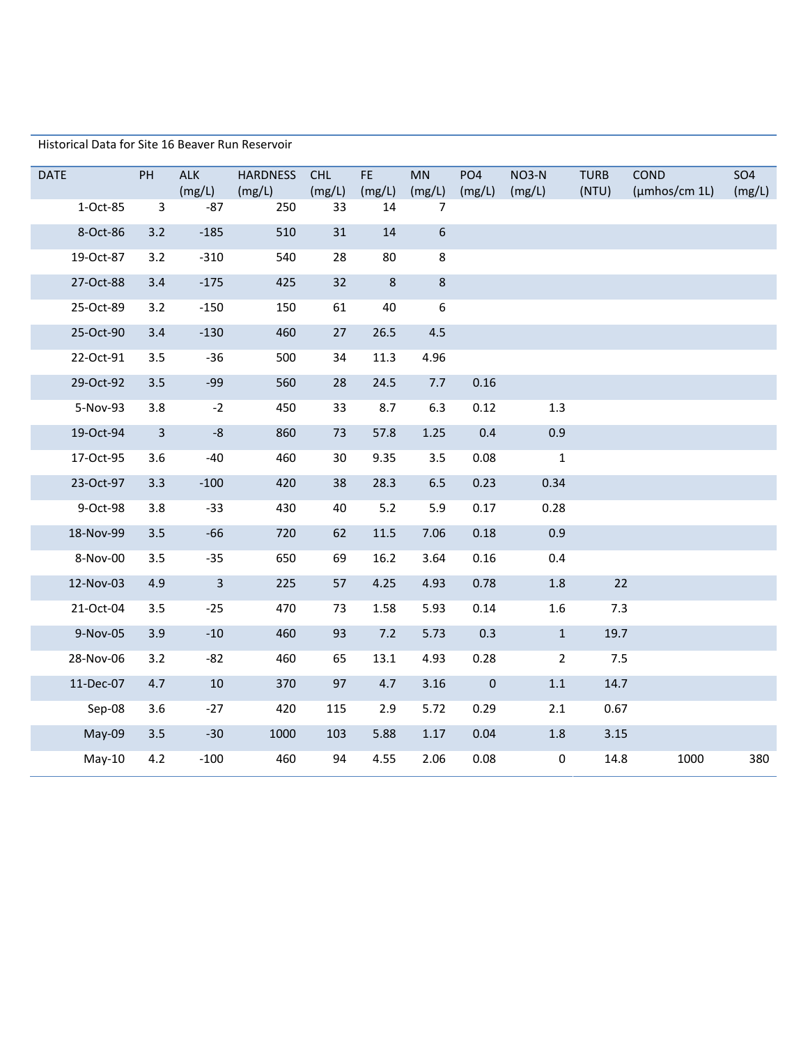Historical Data for Site 16 Beaver Run Reservoir

| <b>DATE</b> | PH             | <b>ALK</b><br>(mg/L) | <b>HARDNESS</b><br>(mg/L) | <b>CHL</b><br>(mg/L) | FE.<br>(mg/L) | <b>MN</b><br>(mg/L) | PO <sub>4</sub><br>(mg/L) | NO3-N<br>(mg/L) | <b>TURB</b><br>(NTU) | <b>COND</b><br>$(\mu$ mhos/cm 1L $)$ | <b>SO4</b><br>(mg/L) |
|-------------|----------------|----------------------|---------------------------|----------------------|---------------|---------------------|---------------------------|-----------------|----------------------|--------------------------------------|----------------------|
| 1-Oct-85    | $\mathbf{3}$   | $-87$                | 250                       | 33                   | 14            | 7                   |                           |                 |                      |                                      |                      |
| 8-Oct-86    | 3.2            | $-185$               | 510                       | 31                   | 14            | $\sqrt{6}$          |                           |                 |                      |                                      |                      |
| 19-Oct-87   | 3.2            | $-310$               | 540                       | 28                   | 80            | 8                   |                           |                 |                      |                                      |                      |
| 27-Oct-88   | 3.4            | $-175$               | 425                       | 32                   | $\,8\,$       | $\bf 8$             |                           |                 |                      |                                      |                      |
| 25-Oct-89   | 3.2            | $-150$               | 150                       | 61                   | 40            | $\boldsymbol{6}$    |                           |                 |                      |                                      |                      |
| 25-Oct-90   | 3.4            | $-130$               | 460                       | 27                   | 26.5          | 4.5                 |                           |                 |                      |                                      |                      |
| 22-Oct-91   | 3.5            | $-36$                | 500                       | 34                   | 11.3          | 4.96                |                           |                 |                      |                                      |                      |
| 29-Oct-92   | 3.5            | $-99$                | 560                       | 28                   | 24.5          | 7.7                 | 0.16                      |                 |                      |                                      |                      |
| 5-Nov-93    | 3.8            | $-2$                 | 450                       | 33                   | 8.7           | 6.3                 | 0.12                      | 1.3             |                      |                                      |                      |
| 19-Oct-94   | $\overline{3}$ | $-8$                 | 860                       | 73                   | 57.8          | 1.25                | 0.4                       | 0.9             |                      |                                      |                      |
| 17-Oct-95   | 3.6            | $-40$                | 460                       | 30                   | 9.35          | 3.5                 | 0.08                      | $\mathbf{1}$    |                      |                                      |                      |
| 23-Oct-97   | 3.3            | $-100$               | 420                       | 38                   | 28.3          | 6.5                 | 0.23                      | 0.34            |                      |                                      |                      |
| 9-Oct-98    | 3.8            | $-33$                | 430                       | 40                   | 5.2           | 5.9                 | 0.17                      | 0.28            |                      |                                      |                      |
| 18-Nov-99   | 3.5            | $-66$                | 720                       | 62                   | 11.5          | 7.06                | 0.18                      | 0.9             |                      |                                      |                      |
| 8-Nov-00    | 3.5            | $-35$                | 650                       | 69                   | 16.2          | 3.64                | 0.16                      | 0.4             |                      |                                      |                      |
| 12-Nov-03   | 4.9            | $\overline{3}$       | 225                       | 57                   | 4.25          | 4.93                | 0.78                      | $1.8\,$         | 22                   |                                      |                      |
| 21-Oct-04   | 3.5            | $-25$                | 470                       | 73                   | 1.58          | 5.93                | 0.14                      | $1.6\,$         | 7.3                  |                                      |                      |
| 9-Nov-05    | 3.9            | $-10$                | 460                       | 93                   | 7.2           | 5.73                | 0.3                       | $\mathbf{1}$    | 19.7                 |                                      |                      |
| 28-Nov-06   | 3.2            | $-82$                | 460                       | 65                   | 13.1          | 4.93                | 0.28                      | $\overline{2}$  | 7.5                  |                                      |                      |
| 11-Dec-07   | 4.7            | 10                   | 370                       | 97                   | 4.7           | 3.16                | $\mathbf 0$               | $1.1\,$         | 14.7                 |                                      |                      |
| Sep-08      | 3.6            | $-27$                | 420                       | 115                  | 2.9           | 5.72                | 0.29                      | 2.1             | 0.67                 |                                      |                      |
| May-09      | 3.5            | $-30$                | 1000                      | 103                  | 5.88          | 1.17                | 0.04                      | $1.8\,$         | 3.15                 |                                      |                      |
| $May-10$    | 4.2            | $-100$               | 460                       | 94                   | 4.55          | 2.06                | 0.08                      | $\mathbf 0$     | 14.8                 | 1000                                 | 380                  |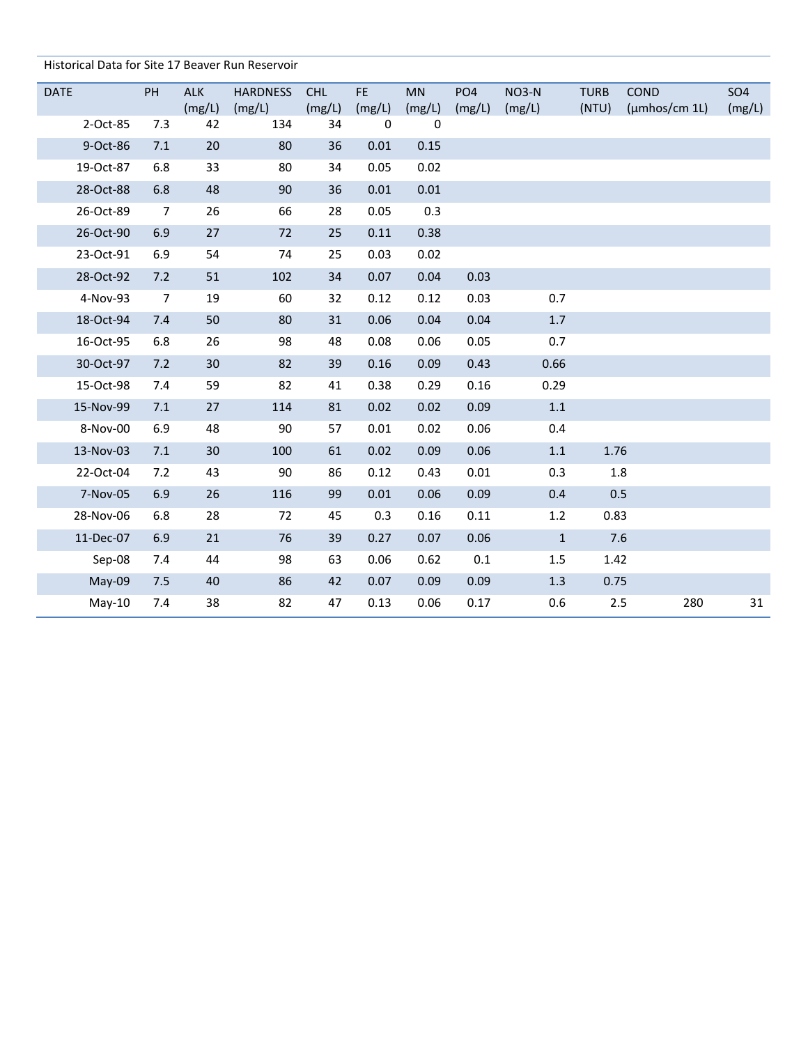| Historical Data for Site 17 Beaver Run Reservoir |  |
|--------------------------------------------------|--|
|--------------------------------------------------|--|

| <b>DATE</b> | PH             | <b>ALK</b> | <b>HARDNESS</b> | <b>CHL</b> | <b>FE</b>   | MN     | PO <sub>4</sub> | <b>NO3-N</b> | <b>TURB</b> | COND          | <b>SO4</b> |
|-------------|----------------|------------|-----------------|------------|-------------|--------|-----------------|--------------|-------------|---------------|------------|
|             |                | (mg/L)     | (mg/L)          | (mg/L)     | (mg/L)      | (mg/L) | (mg/L)          | (mg/L)       | (NTU)       | (µmhos/cm 1L) | (mg/L)     |
| 2-Oct-85    | 7.3            | 42         | 134             | 34         | $\mathbf 0$ | 0      |                 |              |             |               |            |
| 9-Oct-86    | 7.1            | 20         | 80              | 36         | 0.01        | 0.15   |                 |              |             |               |            |
| 19-Oct-87   | 6.8            | 33         | 80              | 34         | 0.05        | 0.02   |                 |              |             |               |            |
| 28-Oct-88   | 6.8            | 48         | 90              | 36         | 0.01        | 0.01   |                 |              |             |               |            |
| 26-Oct-89   | $\overline{7}$ | 26         | 66              | 28         | 0.05        | 0.3    |                 |              |             |               |            |
| 26-Oct-90   | 6.9            | 27         | 72              | 25         | 0.11        | 0.38   |                 |              |             |               |            |
| 23-Oct-91   | 6.9            | 54         | 74              | 25         | 0.03        | 0.02   |                 |              |             |               |            |
| 28-Oct-92   | 7.2            | 51         | 102             | 34         | 0.07        | 0.04   | 0.03            |              |             |               |            |
| 4-Nov-93    | $\overline{7}$ | 19         | 60              | 32         | 0.12        | 0.12   | 0.03            | 0.7          |             |               |            |
| 18-Oct-94   | 7.4            | 50         | 80              | 31         | 0.06        | 0.04   | 0.04            | $1.7$        |             |               |            |
| 16-Oct-95   | 6.8            | 26         | 98              | 48         | 0.08        | 0.06   | 0.05            | 0.7          |             |               |            |
| 30-Oct-97   | 7.2            | 30         | 82              | 39         | 0.16        | 0.09   | 0.43            | 0.66         |             |               |            |
| 15-Oct-98   | 7.4            | 59         | 82              | 41         | 0.38        | 0.29   | 0.16            | 0.29         |             |               |            |
| 15-Nov-99   | 7.1            | 27         | 114             | 81         | 0.02        | 0.02   | 0.09            | $1.1\,$      |             |               |            |
| 8-Nov-00    | 6.9            | 48         | 90              | 57         | 0.01        | 0.02   | 0.06            | 0.4          |             |               |            |
| 13-Nov-03   | 7.1            | 30         | 100             | 61         | 0.02        | 0.09   | 0.06            | $1.1\,$      | 1.76        |               |            |
| 22-Oct-04   | 7.2            | 43         | 90              | 86         | 0.12        | 0.43   | 0.01            | 0.3          | 1.8         |               |            |
| 7-Nov-05    | 6.9            | 26         | 116             | 99         | 0.01        | 0.06   | 0.09            | 0.4          | 0.5         |               |            |
| 28-Nov-06   | 6.8            | 28         | 72              | 45         | 0.3         | 0.16   | 0.11            | 1.2          | 0.83        |               |            |
| 11-Dec-07   | 6.9            | 21         | 76              | 39         | 0.27        | 0.07   | 0.06            | $\mathbf{1}$ | 7.6         |               |            |
| Sep-08      | 7.4            | 44         | 98              | 63         | 0.06        | 0.62   | 0.1             | 1.5          | 1.42        |               |            |
| May-09      | 7.5            | 40         | 86              | 42         | 0.07        | 0.09   | 0.09            | 1.3          | 0.75        |               |            |
| $May-10$    | 7.4            | 38         | 82              | 47         | 0.13        | 0.06   | 0.17            | 0.6          | 2.5         | 280           | 31         |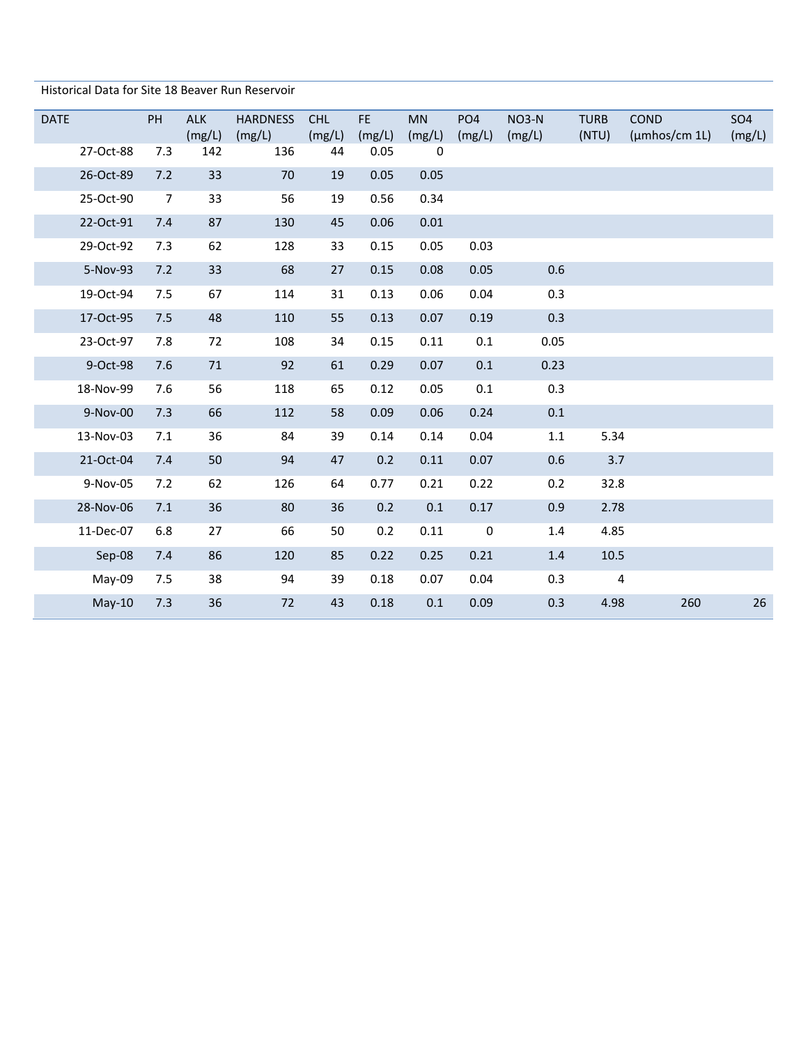Historical Data for Site 18 Beaver Run Reservoir

| <b>DATE</b> |           | <b>PH</b>      | <b>ALK</b><br>(mg/L) | <b>HARDNESS</b><br>(mg/L) | CHL<br>(mg/L) | FE.<br>(mg/L) | <b>MN</b><br>(mg/L)     | PO <sub>4</sub><br>(mg/L) | $NO3-N$<br>(mg/L) | <b>TURB</b><br>(NTU) | <b>COND</b><br>$(\mu m$ hos/cm 1L $)$ | SO <sub>4</sub><br>(mg/L) |
|-------------|-----------|----------------|----------------------|---------------------------|---------------|---------------|-------------------------|---------------------------|-------------------|----------------------|---------------------------------------|---------------------------|
|             | 27-Oct-88 | 7.3            | 142                  | 136                       | 44            | 0.05          | $\overline{\mathbf{0}}$ |                           |                   |                      |                                       |                           |
|             | 26-Oct-89 | 7.2            | 33                   | 70                        | 19            | 0.05          | 0.05                    |                           |                   |                      |                                       |                           |
|             | 25-Oct-90 | $\overline{7}$ | 33                   | 56                        | 19            | 0.56          | 0.34                    |                           |                   |                      |                                       |                           |
|             | 22-Oct-91 | 7.4            | 87                   | 130                       | 45            | 0.06          | 0.01                    |                           |                   |                      |                                       |                           |
|             | 29-Oct-92 | 7.3            | 62                   | 128                       | 33            | 0.15          | 0.05                    | 0.03                      |                   |                      |                                       |                           |
|             | 5-Nov-93  | 7.2            | 33                   | 68                        | 27            | 0.15          | 0.08                    | 0.05                      | 0.6               |                      |                                       |                           |
|             | 19-Oct-94 | 7.5            | 67                   | 114                       | 31            | 0.13          | 0.06                    | 0.04                      | 0.3               |                      |                                       |                           |
|             | 17-Oct-95 | 7.5            | 48                   | 110                       | 55            | 0.13          | 0.07                    | 0.19                      | 0.3               |                      |                                       |                           |
|             | 23-Oct-97 | 7.8            | 72                   | 108                       | 34            | 0.15          | 0.11                    | 0.1                       | 0.05              |                      |                                       |                           |
|             | 9-Oct-98  | 7.6            | 71                   | 92                        | 61            | 0.29          | 0.07                    | $0.1\,$                   | 0.23              |                      |                                       |                           |
|             | 18-Nov-99 | 7.6            | 56                   | 118                       | 65            | 0.12          | 0.05                    | 0.1                       | 0.3               |                      |                                       |                           |
|             | 9-Nov-00  | 7.3            | 66                   | 112                       | 58            | 0.09          | 0.06                    | 0.24                      | 0.1               |                      |                                       |                           |
|             | 13-Nov-03 | 7.1            | 36                   | 84                        | 39            | 0.14          | 0.14                    | 0.04                      | 1.1               | 5.34                 |                                       |                           |
|             | 21-Oct-04 | 7.4            | 50                   | 94                        | 47            | 0.2           | 0.11                    | 0.07                      | 0.6               | 3.7                  |                                       |                           |
|             | 9-Nov-05  | 7.2            | 62                   | 126                       | 64            | 0.77          | 0.21                    | 0.22                      | 0.2               | 32.8                 |                                       |                           |
|             | 28-Nov-06 | 7.1            | 36                   | 80                        | 36            | 0.2           | 0.1                     | 0.17                      | 0.9               | 2.78                 |                                       |                           |
|             | 11-Dec-07 | 6.8            | 27                   | 66                        | 50            | 0.2           | 0.11                    | $\boldsymbol{0}$          | 1.4               | 4.85                 |                                       |                           |
|             | Sep-08    | 7.4            | 86                   | 120                       | 85            | 0.22          | 0.25                    | 0.21                      | 1.4               | 10.5                 |                                       |                           |
|             | May-09    | 7.5            | 38                   | 94                        | 39            | 0.18          | 0.07                    | 0.04                      | 0.3               | 4                    |                                       |                           |
|             | $May-10$  | 7.3            | 36                   | 72                        | 43            | 0.18          | 0.1                     | 0.09                      | 0.3               | 4.98                 | 260                                   | 26                        |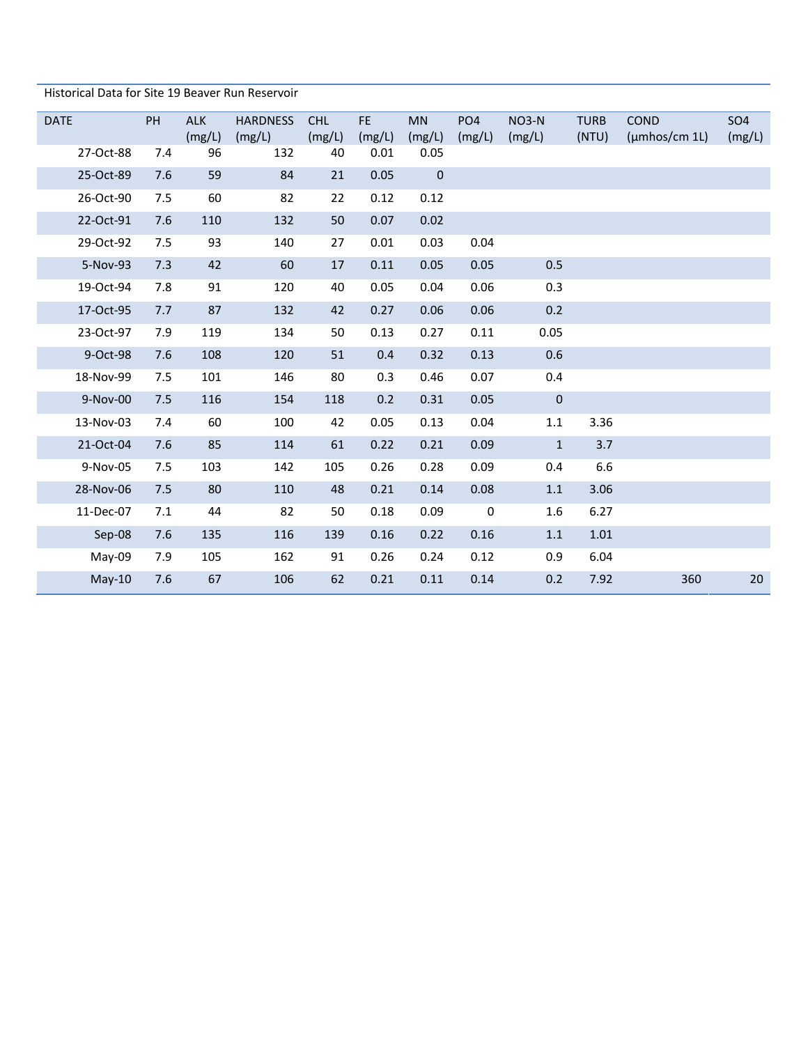| Historical Data for Site 19 Beaver Run Reservoir |  |
|--------------------------------------------------|--|
|--------------------------------------------------|--|

| <b>DATE</b> | PH  | <b>ALK</b><br>(mg/L) | <b>HARDNESS</b><br>(mg/L) | <b>CHL</b><br>(mg/L) | FE.<br>(mg/L) | <b>MN</b><br>(mg/L) | PO <sub>4</sub><br>(mg/L) | $NO3-N$<br>(mg/L) | <b>TURB</b><br>(NTU) | <b>COND</b><br>(µmhos/cm 1L) | SO <sub>4</sub><br>(mg/L) |
|-------------|-----|----------------------|---------------------------|----------------------|---------------|---------------------|---------------------------|-------------------|----------------------|------------------------------|---------------------------|
| 27-Oct-88   | 7.4 | 96                   | 132                       | 40                   | 0.01          | 0.05                |                           |                   |                      |                              |                           |
| 25-Oct-89   | 7.6 | 59                   | 84                        | 21                   | 0.05          | $\pmb{0}$           |                           |                   |                      |                              |                           |
| 26-Oct-90   | 7.5 | 60                   | 82                        | 22                   | 0.12          | 0.12                |                           |                   |                      |                              |                           |
| 22-Oct-91   | 7.6 | 110                  | 132                       | 50                   | 0.07          | 0.02                |                           |                   |                      |                              |                           |
| 29-Oct-92   | 7.5 | 93                   | 140                       | 27                   | 0.01          | 0.03                | 0.04                      |                   |                      |                              |                           |
| 5-Nov-93    | 7.3 | 42                   | 60                        | 17                   | 0.11          | 0.05                | 0.05                      | 0.5               |                      |                              |                           |
| 19-Oct-94   | 7.8 | 91                   | 120                       | 40                   | 0.05          | 0.04                | 0.06                      | 0.3               |                      |                              |                           |
| 17-Oct-95   | 7.7 | 87                   | 132                       | 42                   | 0.27          | 0.06                | 0.06                      | 0.2               |                      |                              |                           |
| 23-Oct-97   | 7.9 | 119                  | 134                       | 50                   | 0.13          | 0.27                | 0.11                      | 0.05              |                      |                              |                           |
| 9-Oct-98    | 7.6 | 108                  | 120                       | 51                   | 0.4           | 0.32                | 0.13                      | 0.6               |                      |                              |                           |
| 18-Nov-99   | 7.5 | 101                  | 146                       | 80                   | 0.3           | 0.46                | 0.07                      | 0.4               |                      |                              |                           |
| 9-Nov-00    | 7.5 | 116                  | 154                       | 118                  | 0.2           | 0.31                | 0.05                      | $\pmb{0}$         |                      |                              |                           |
| 13-Nov-03   | 7.4 | 60                   | 100                       | 42                   | 0.05          | 0.13                | 0.04                      | $1.1\,$           | 3.36                 |                              |                           |
| 21-Oct-04   | 7.6 | 85                   | 114                       | 61                   | 0.22          | 0.21                | 0.09                      | $\mathbf{1}$      | 3.7                  |                              |                           |
| 9-Nov-05    | 7.5 | 103                  | 142                       | 105                  | 0.26          | 0.28                | 0.09                      | 0.4               | 6.6                  |                              |                           |
| 28-Nov-06   | 7.5 | 80                   | 110                       | 48                   | 0.21          | 0.14                | 0.08                      | $1.1\,$           | 3.06                 |                              |                           |
| 11-Dec-07   | 7.1 | 44                   | 82                        | 50                   | 0.18          | 0.09                | $\boldsymbol{0}$          | 1.6               | 6.27                 |                              |                           |
| Sep-08      | 7.6 | 135                  | 116                       | 139                  | 0.16          | 0.22                | 0.16                      | $1.1\,$           | $1.01\,$             |                              |                           |
| May-09      | 7.9 | 105                  | 162                       | 91                   | 0.26          | 0.24                | 0.12                      | 0.9               | 6.04                 |                              |                           |
| $May-10$    | 7.6 | 67                   | 106                       | 62                   | 0.21          | 0.11                | 0.14                      | 0.2               | 7.92                 | 360                          | 20                        |